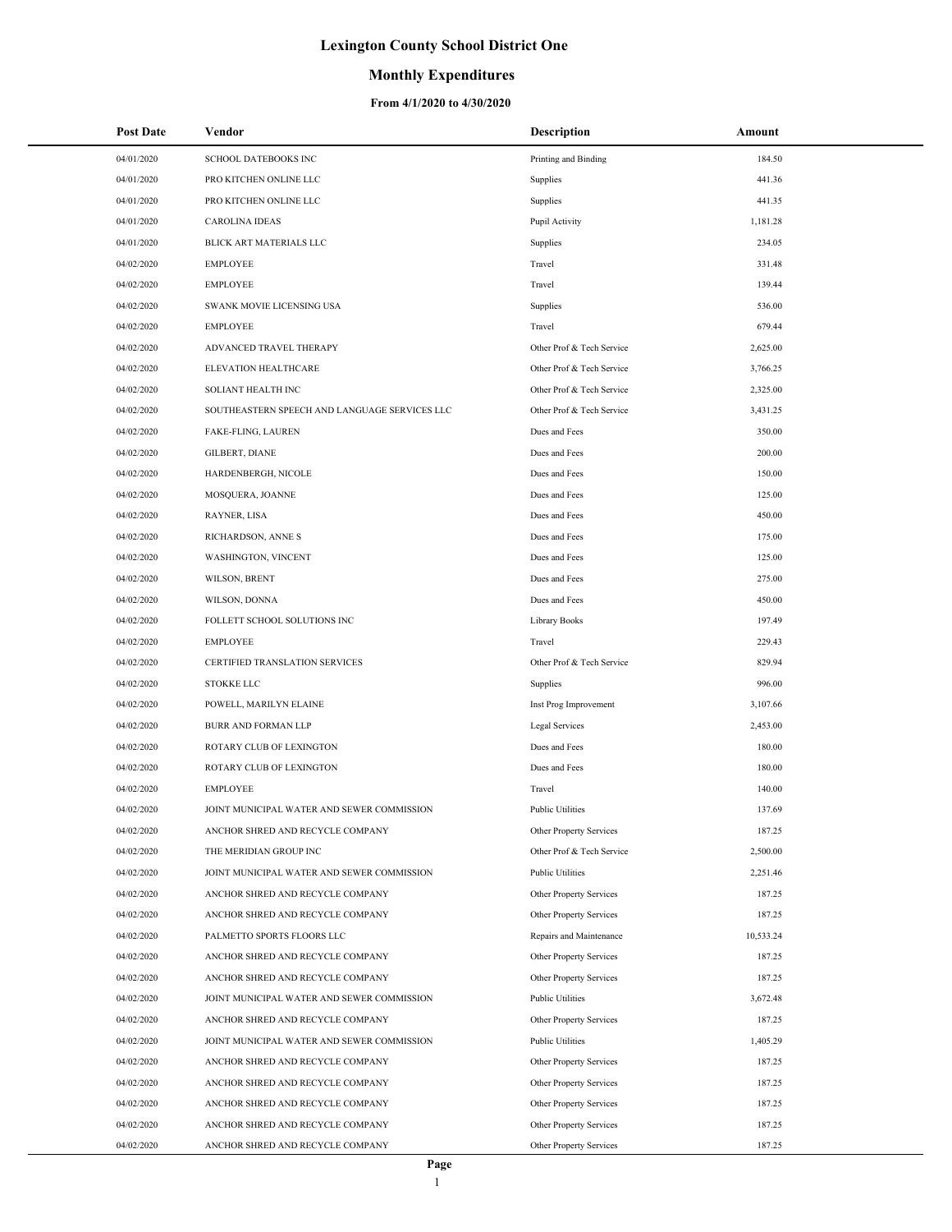## **Monthly Expenditures**

| <b>Post Date</b> | Vendor                                        | <b>Description</b>        | Amount    |
|------------------|-----------------------------------------------|---------------------------|-----------|
| 04/01/2020       | SCHOOL DATEBOOKS INC                          | Printing and Binding      | 184.50    |
| 04/01/2020       | PRO KITCHEN ONLINE LLC                        | Supplies                  | 441.36    |
| 04/01/2020       | PRO KITCHEN ONLINE LLC                        | Supplies                  | 441.35    |
| 04/01/2020       | <b>CAROLINA IDEAS</b>                         | Pupil Activity            | 1,181.28  |
| 04/01/2020       | BLICK ART MATERIALS LLC                       | Supplies                  | 234.05    |
| 04/02/2020       | <b>EMPLOYEE</b>                               | Travel                    | 331.48    |
| 04/02/2020       | <b>EMPLOYEE</b>                               | Travel                    | 139.44    |
| 04/02/2020       | SWANK MOVIE LICENSING USA                     | Supplies                  | 536.00    |
| 04/02/2020       | <b>EMPLOYEE</b>                               | Travel                    | 679.44    |
| 04/02/2020       | ADVANCED TRAVEL THERAPY                       | Other Prof & Tech Service | 2,625.00  |
| 04/02/2020       | ELEVATION HEALTHCARE                          | Other Prof & Tech Service | 3,766.25  |
| 04/02/2020       | SOLIANT HEALTH INC                            | Other Prof & Tech Service | 2,325.00  |
| 04/02/2020       | SOUTHEASTERN SPEECH AND LANGUAGE SERVICES LLC | Other Prof & Tech Service | 3,431.25  |
| 04/02/2020       | FAKE-FLING, LAUREN                            | Dues and Fees             | 350.00    |
| 04/02/2020       | GILBERT, DIANE                                | Dues and Fees             | 200.00    |
| 04/02/2020       | HARDENBERGH, NICOLE                           | Dues and Fees             | 150.00    |
| 04/02/2020       | MOSQUERA, JOANNE                              | Dues and Fees             | 125.00    |
| 04/02/2020       | RAYNER, LISA                                  | Dues and Fees             | 450.00    |
| 04/02/2020       | RICHARDSON, ANNE S                            | Dues and Fees             | 175.00    |
| 04/02/2020       | WASHINGTON, VINCENT                           | Dues and Fees             | 125.00    |
| 04/02/2020       | WILSON, BRENT                                 | Dues and Fees             | 275.00    |
| 04/02/2020       | WILSON, DONNA                                 | Dues and Fees             | 450.00    |
| 04/02/2020       | FOLLETT SCHOOL SOLUTIONS INC                  | Library Books             | 197.49    |
| 04/02/2020       | <b>EMPLOYEE</b>                               | Travel                    | 229.43    |
| 04/02/2020       | CERTIFIED TRANSLATION SERVICES                | Other Prof & Tech Service | 829.94    |
| 04/02/2020       | <b>STOKKE LLC</b>                             | Supplies                  | 996.00    |
| 04/02/2020       | POWELL, MARILYN ELAINE                        | Inst Prog Improvement     | 3,107.66  |
| 04/02/2020       | BURR AND FORMAN LLP                           | Legal Services            | 2,453.00  |
| 04/02/2020       | ROTARY CLUB OF LEXINGTON                      | Dues and Fees             | 180.00    |
| 04/02/2020       | ROTARY CLUB OF LEXINGTON                      | Dues and Fees             | 180.00    |
| 04/02/2020       | <b>EMPLOYEE</b>                               | Travel                    | 140.00    |
| 04/02/2020       | JOINT MUNICIPAL WATER AND SEWER COMMISSION    | <b>Public Utilities</b>   | 137.69    |
| 04/02/2020       | ANCHOR SHRED AND RECYCLE COMPANY              | Other Property Services   | 187.25    |
| 04/02/2020       | THE MERIDIAN GROUP INC                        | Other Prof & Tech Service | 2,500.00  |
| 04/02/2020       | JOINT MUNICIPAL WATER AND SEWER COMMISSION    | <b>Public Utilities</b>   | 2,251.46  |
| 04/02/2020       | ANCHOR SHRED AND RECYCLE COMPANY              | Other Property Services   | 187.25    |
| 04/02/2020       | ANCHOR SHRED AND RECYCLE COMPANY              | Other Property Services   | 187.25    |
| 04/02/2020       | PALMETTO SPORTS FLOORS LLC                    | Repairs and Maintenance   | 10,533.24 |
| 04/02/2020       | ANCHOR SHRED AND RECYCLE COMPANY              | Other Property Services   | 187.25    |
| 04/02/2020       | ANCHOR SHRED AND RECYCLE COMPANY              | Other Property Services   | 187.25    |
| 04/02/2020       | JOINT MUNICIPAL WATER AND SEWER COMMISSION    | <b>Public Utilities</b>   | 3,672.48  |
| 04/02/2020       | ANCHOR SHRED AND RECYCLE COMPANY              | Other Property Services   | 187.25    |
| 04/02/2020       | JOINT MUNICIPAL WATER AND SEWER COMMISSION    | Public Utilities          | 1,405.29  |
| 04/02/2020       | ANCHOR SHRED AND RECYCLE COMPANY              | Other Property Services   | 187.25    |
| 04/02/2020       | ANCHOR SHRED AND RECYCLE COMPANY              | Other Property Services   | 187.25    |
| 04/02/2020       | ANCHOR SHRED AND RECYCLE COMPANY              | Other Property Services   | 187.25    |
| 04/02/2020       | ANCHOR SHRED AND RECYCLE COMPANY              | Other Property Services   | 187.25    |
| 04/02/2020       | ANCHOR SHRED AND RECYCLE COMPANY              | Other Property Services   | 187.25    |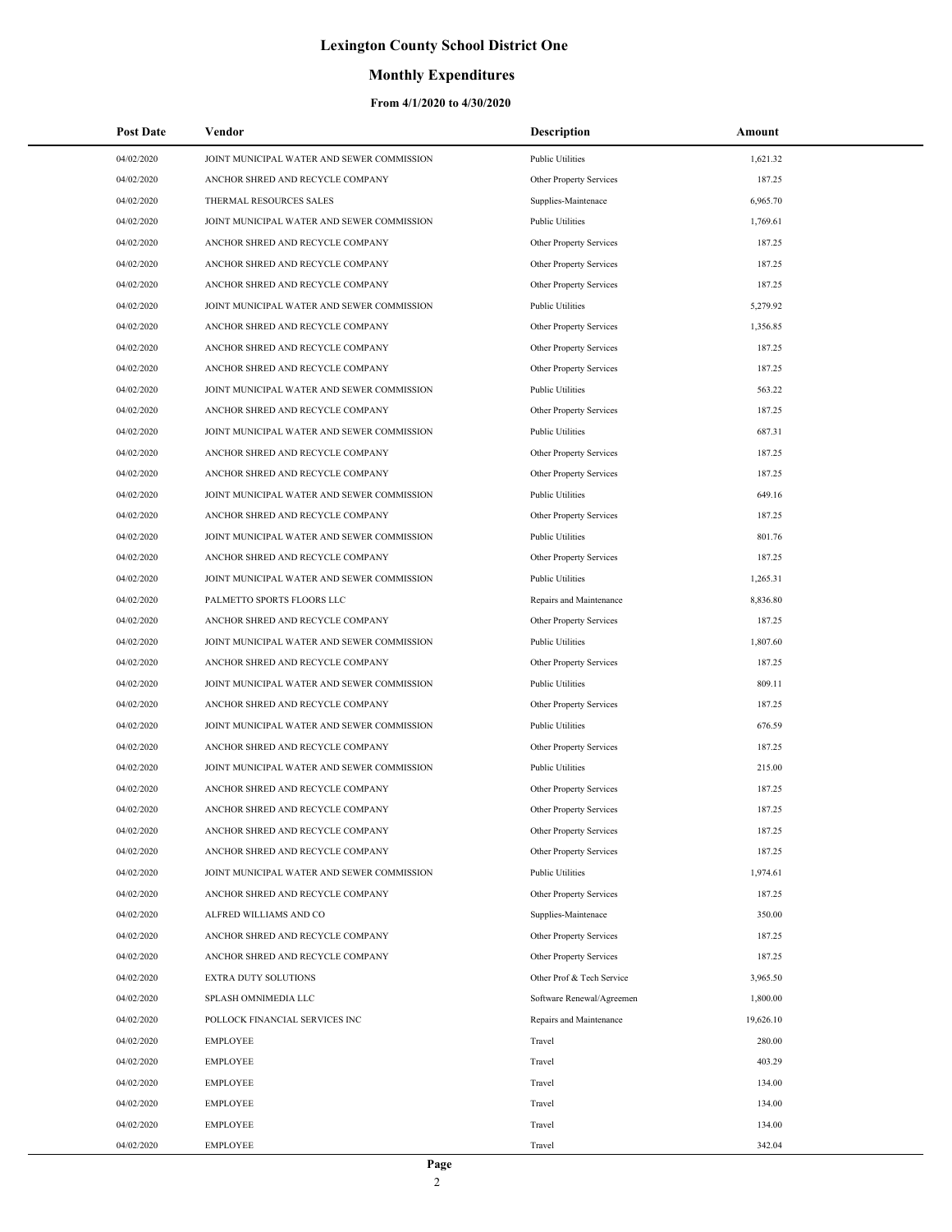### **Monthly Expenditures**

| Post Date  | Vendor                                     | <b>Description</b>        | Amount    |
|------------|--------------------------------------------|---------------------------|-----------|
| 04/02/2020 | JOINT MUNICIPAL WATER AND SEWER COMMISSION | <b>Public Utilities</b>   | 1,621.32  |
| 04/02/2020 | ANCHOR SHRED AND RECYCLE COMPANY           | Other Property Services   | 187.25    |
| 04/02/2020 | THERMAL RESOURCES SALES                    | Supplies-Maintenace       | 6,965.70  |
| 04/02/2020 | JOINT MUNICIPAL WATER AND SEWER COMMISSION | <b>Public Utilities</b>   | 1,769.61  |
| 04/02/2020 | ANCHOR SHRED AND RECYCLE COMPANY           | Other Property Services   | 187.25    |
| 04/02/2020 | ANCHOR SHRED AND RECYCLE COMPANY           | Other Property Services   | 187.25    |
| 04/02/2020 | ANCHOR SHRED AND RECYCLE COMPANY           | Other Property Services   | 187.25    |
| 04/02/2020 | JOINT MUNICIPAL WATER AND SEWER COMMISSION | <b>Public Utilities</b>   | 5,279.92  |
| 04/02/2020 | ANCHOR SHRED AND RECYCLE COMPANY           | Other Property Services   | 1,356.85  |
| 04/02/2020 | ANCHOR SHRED AND RECYCLE COMPANY           | Other Property Services   | 187.25    |
| 04/02/2020 | ANCHOR SHRED AND RECYCLE COMPANY           | Other Property Services   | 187.25    |
| 04/02/2020 | JOINT MUNICIPAL WATER AND SEWER COMMISSION | <b>Public Utilities</b>   | 563.22    |
| 04/02/2020 | ANCHOR SHRED AND RECYCLE COMPANY           | Other Property Services   | 187.25    |
| 04/02/2020 | JOINT MUNICIPAL WATER AND SEWER COMMISSION | <b>Public Utilities</b>   | 687.31    |
| 04/02/2020 | ANCHOR SHRED AND RECYCLE COMPANY           | Other Property Services   | 187.25    |
| 04/02/2020 | ANCHOR SHRED AND RECYCLE COMPANY           | Other Property Services   | 187.25    |
| 04/02/2020 | JOINT MUNICIPAL WATER AND SEWER COMMISSION | Public Utilities          | 649.16    |
| 04/02/2020 | ANCHOR SHRED AND RECYCLE COMPANY           | Other Property Services   | 187.25    |
| 04/02/2020 | JOINT MUNICIPAL WATER AND SEWER COMMISSION | <b>Public Utilities</b>   | 801.76    |
| 04/02/2020 | ANCHOR SHRED AND RECYCLE COMPANY           | Other Property Services   | 187.25    |
| 04/02/2020 | JOINT MUNICIPAL WATER AND SEWER COMMISSION | Public Utilities          | 1,265.31  |
| 04/02/2020 | PALMETTO SPORTS FLOORS LLC                 | Repairs and Maintenance   | 8,836.80  |
| 04/02/2020 | ANCHOR SHRED AND RECYCLE COMPANY           | Other Property Services   | 187.25    |
| 04/02/2020 | JOINT MUNICIPAL WATER AND SEWER COMMISSION | <b>Public Utilities</b>   | 1,807.60  |
| 04/02/2020 | ANCHOR SHRED AND RECYCLE COMPANY           | Other Property Services   | 187.25    |
| 04/02/2020 | JOINT MUNICIPAL WATER AND SEWER COMMISSION | <b>Public Utilities</b>   | 809.11    |
| 04/02/2020 | ANCHOR SHRED AND RECYCLE COMPANY           | Other Property Services   | 187.25    |
| 04/02/2020 | JOINT MUNICIPAL WATER AND SEWER COMMISSION | <b>Public Utilities</b>   | 676.59    |
| 04/02/2020 | ANCHOR SHRED AND RECYCLE COMPANY           | Other Property Services   | 187.25    |
| 04/02/2020 | JOINT MUNICIPAL WATER AND SEWER COMMISSION | <b>Public Utilities</b>   | 215.00    |
| 04/02/2020 | ANCHOR SHRED AND RECYCLE COMPANY           | Other Property Services   | 187.25    |
| 04/02/2020 | ANCHOR SHRED AND RECYCLE COMPANY           | Other Property Services   | 187.25    |
| 04/02/2020 | ANCHOR SHRED AND RECYCLE COMPANY           | Other Property Services   | 187.25    |
| 04/02/2020 | ANCHOR SHRED AND RECYCLE COMPANY           | Other Property Services   | 187.25    |
| 04/02/2020 | JOINT MUNICIPAL WATER AND SEWER COMMISSION | Public Utilities          | 1,974.61  |
| 04/02/2020 | ANCHOR SHRED AND RECYCLE COMPANY           | Other Property Services   | 187.25    |
| 04/02/2020 | ALFRED WILLIAMS AND CO                     | Supplies-Maintenace       | 350.00    |
| 04/02/2020 | ANCHOR SHRED AND RECYCLE COMPANY           | Other Property Services   | 187.25    |
| 04/02/2020 | ANCHOR SHRED AND RECYCLE COMPANY           | Other Property Services   | 187.25    |
| 04/02/2020 | <b>EXTRA DUTY SOLUTIONS</b>                | Other Prof & Tech Service | 3,965.50  |
| 04/02/2020 | SPLASH OMNIMEDIA LLC                       | Software Renewal/Agreemen | 1,800.00  |
| 04/02/2020 | POLLOCK FINANCIAL SERVICES INC             | Repairs and Maintenance   | 19,626.10 |
| 04/02/2020 | <b>EMPLOYEE</b>                            | Travel                    | 280.00    |
| 04/02/2020 | <b>EMPLOYEE</b>                            | Travel                    | 403.29    |
| 04/02/2020 | <b>EMPLOYEE</b>                            | Travel                    | 134.00    |
| 04/02/2020 | <b>EMPLOYEE</b>                            | Travel                    | 134.00    |
| 04/02/2020 | <b>EMPLOYEE</b>                            | Travel                    | 134.00    |
| 04/02/2020 | <b>EMPLOYEE</b>                            | Travel                    | 342.04    |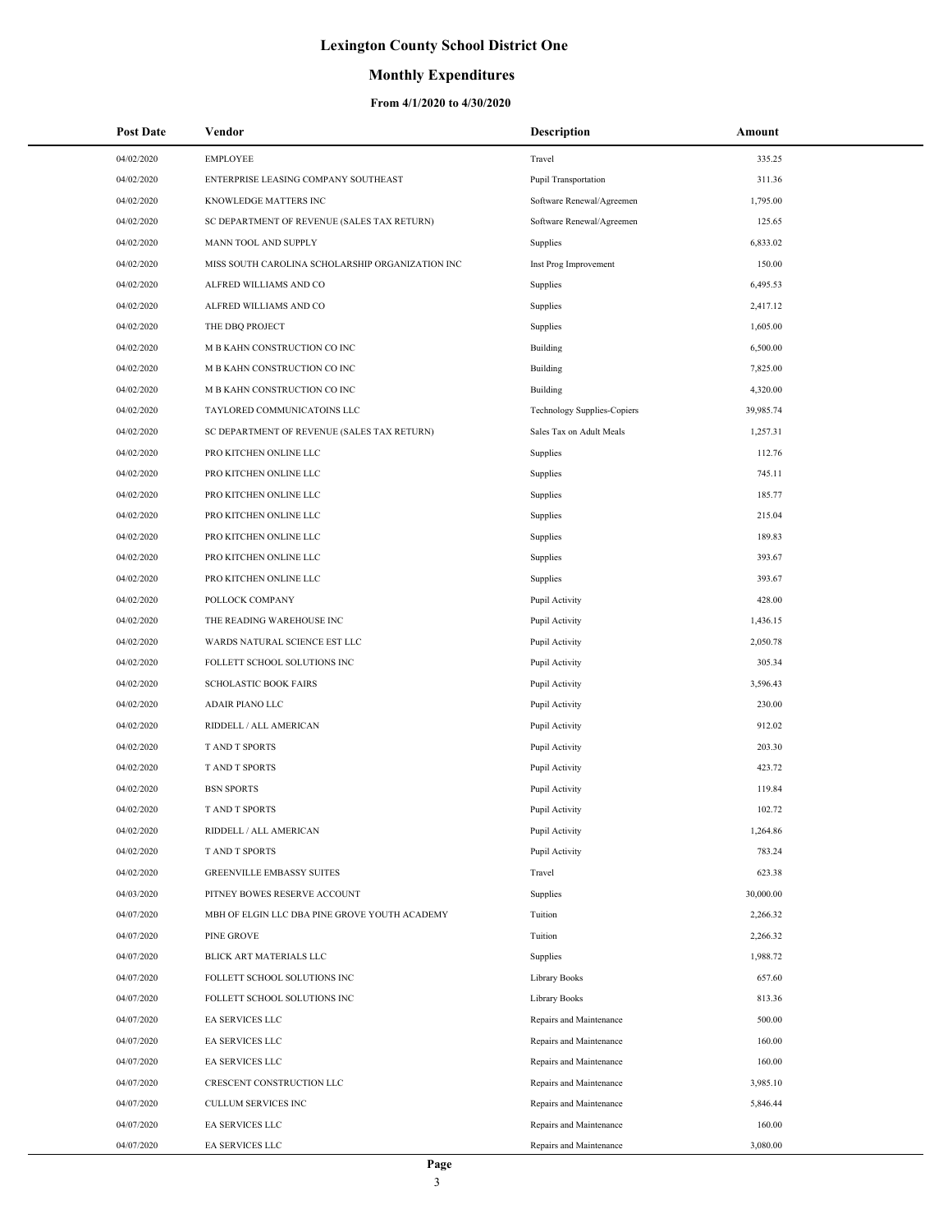## **Monthly Expenditures**

| <b>Post Date</b> | Vendor                                           | <b>Description</b>          | Amount    |
|------------------|--------------------------------------------------|-----------------------------|-----------|
| 04/02/2020       | <b>EMPLOYEE</b>                                  | Travel                      | 335.25    |
| 04/02/2020       | ENTERPRISE LEASING COMPANY SOUTHEAST             | Pupil Transportation        | 311.36    |
| 04/02/2020       | KNOWLEDGE MATTERS INC                            | Software Renewal/Agreemen   | 1,795.00  |
| 04/02/2020       | SC DEPARTMENT OF REVENUE (SALES TAX RETURN)      | Software Renewal/Agreemen   | 125.65    |
| 04/02/2020       | MANN TOOL AND SUPPLY                             | Supplies                    | 6,833.02  |
| 04/02/2020       | MISS SOUTH CAROLINA SCHOLARSHIP ORGANIZATION INC | Inst Prog Improvement       | 150.00    |
| 04/02/2020       | ALFRED WILLIAMS AND CO                           | Supplies                    | 6,495.53  |
| 04/02/2020       | ALFRED WILLIAMS AND CO                           | Supplies                    | 2,417.12  |
| 04/02/2020       | THE DBQ PROJECT                                  | Supplies                    | 1,605.00  |
| 04/02/2020       | M B KAHN CONSTRUCTION CO INC                     | Building                    | 6,500.00  |
| 04/02/2020       | M B KAHN CONSTRUCTION CO INC                     | Building                    | 7,825.00  |
| 04/02/2020       | M B KAHN CONSTRUCTION CO INC                     | Building                    | 4,320.00  |
| 04/02/2020       | TAYLORED COMMUNICATOINS LLC                      | Technology Supplies-Copiers | 39,985.74 |
| 04/02/2020       | SC DEPARTMENT OF REVENUE (SALES TAX RETURN)      | Sales Tax on Adult Meals    | 1,257.31  |
| 04/02/2020       | PRO KITCHEN ONLINE LLC                           | Supplies                    | 112.76    |
| 04/02/2020       | PRO KITCHEN ONLINE LLC                           | Supplies                    | 745.11    |
| 04/02/2020       | PRO KITCHEN ONLINE LLC                           | Supplies                    | 185.77    |
| 04/02/2020       | PRO KITCHEN ONLINE LLC                           | Supplies                    | 215.04    |
| 04/02/2020       | PRO KITCHEN ONLINE LLC                           | Supplies                    | 189.83    |
| 04/02/2020       | PRO KITCHEN ONLINE LLC                           | Supplies                    | 393.67    |
| 04/02/2020       | PRO KITCHEN ONLINE LLC                           | Supplies                    | 393.67    |
| 04/02/2020       | POLLOCK COMPANY                                  | Pupil Activity              | 428.00    |
| 04/02/2020       | THE READING WAREHOUSE INC                        | Pupil Activity              | 1,436.15  |
| 04/02/2020       | WARDS NATURAL SCIENCE EST LLC                    | Pupil Activity              | 2,050.78  |
| 04/02/2020       | FOLLETT SCHOOL SOLUTIONS INC                     | Pupil Activity              | 305.34    |
| 04/02/2020       | <b>SCHOLASTIC BOOK FAIRS</b>                     | Pupil Activity              | 3,596.43  |
| 04/02/2020       | ADAIR PIANO LLC                                  | Pupil Activity              | 230.00    |
| 04/02/2020       | RIDDELL / ALL AMERICAN                           | Pupil Activity              | 912.02    |
| 04/02/2020       | T AND T SPORTS                                   | Pupil Activity              | 203.30    |
| 04/02/2020       | <b>TAND T SPORTS</b>                             | Pupil Activity              | 423.72    |
| 04/02/2020       | <b>BSN SPORTS</b>                                | Pupil Activity              | 119.84    |
| 04/02/2020       | <b>TAND T SPORTS</b>                             | Pupil Activity              | 102.72    |
| 04/02/2020       | RIDDELL / ALL AMERICAN                           | Pupil Activity              | 1,264.86  |
| 04/02/2020       | <b>TAND T SPORTS</b>                             | Pupil Activity              | 783.24    |
| 04/02/2020       | <b>GREENVILLE EMBASSY SUITES</b>                 | Travel                      | 623.38    |
| 04/03/2020       | PITNEY BOWES RESERVE ACCOUNT                     | Supplies                    | 30,000.00 |
| 04/07/2020       | MBH OF ELGIN LLC DBA PINE GROVE YOUTH ACADEMY    | Tuition                     | 2,266.32  |
| 04/07/2020       | PINE GROVE                                       | Tuition                     | 2,266.32  |
| 04/07/2020       | BLICK ART MATERIALS LLC                          | Supplies                    | 1,988.72  |
| 04/07/2020       | FOLLETT SCHOOL SOLUTIONS INC                     | Library Books               | 657.60    |
| 04/07/2020       | FOLLETT SCHOOL SOLUTIONS INC                     | Library Books               | 813.36    |
| 04/07/2020       | EA SERVICES LLC                                  | Repairs and Maintenance     | 500.00    |
| 04/07/2020       | EA SERVICES LLC                                  | Repairs and Maintenance     | 160.00    |
| 04/07/2020       | EA SERVICES LLC                                  | Repairs and Maintenance     | 160.00    |
| 04/07/2020       | CRESCENT CONSTRUCTION LLC                        | Repairs and Maintenance     | 3,985.10  |
| 04/07/2020       | CULLUM SERVICES INC                              | Repairs and Maintenance     | 5,846.44  |
| 04/07/2020       | EA SERVICES LLC                                  | Repairs and Maintenance     | 160.00    |
| 04/07/2020       | EA SERVICES LLC                                  | Repairs and Maintenance     | 3,080.00  |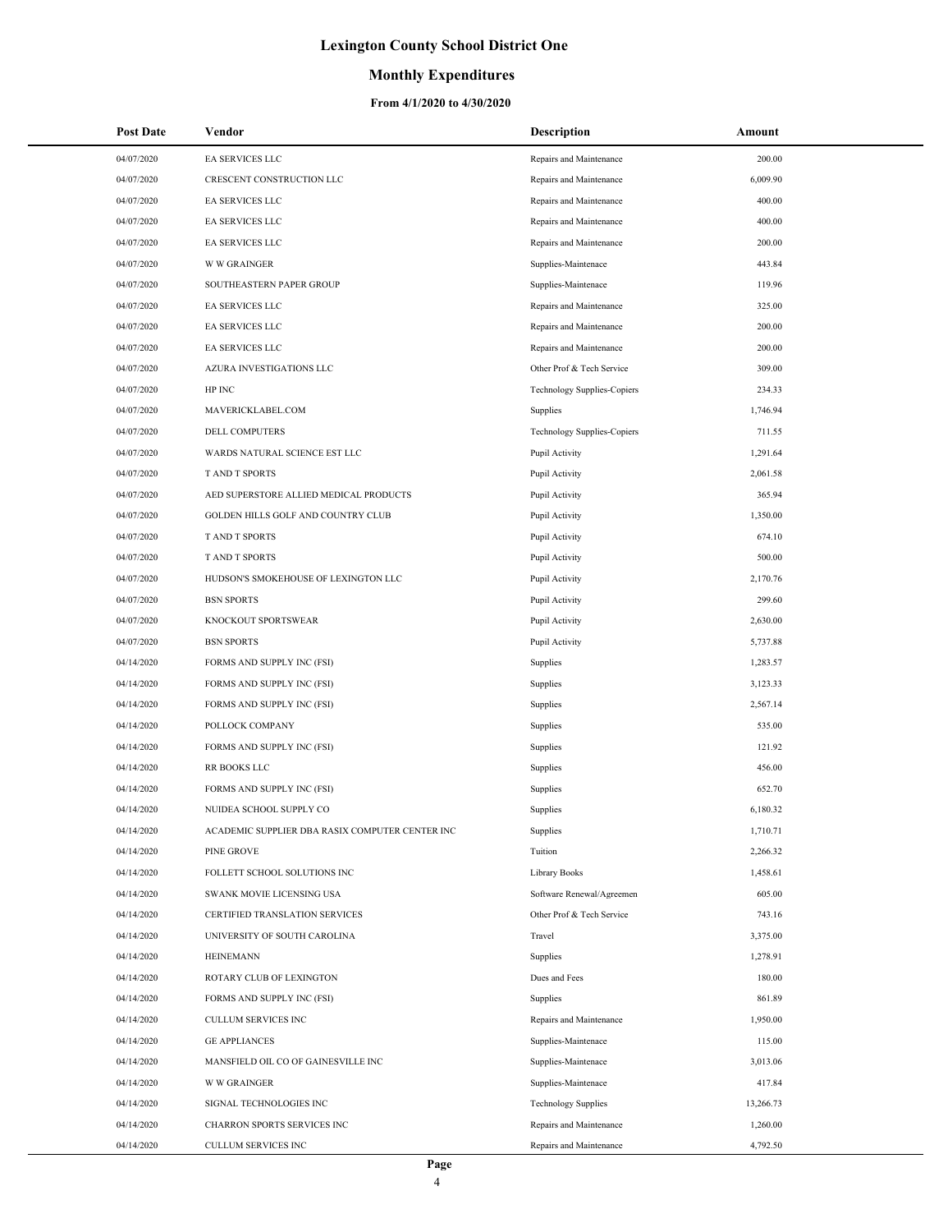### **Monthly Expenditures**

| <b>Post Date</b> | Vendor                                          | <b>Description</b>                 | Amount    |
|------------------|-------------------------------------------------|------------------------------------|-----------|
| 04/07/2020       | EA SERVICES LLC                                 | Repairs and Maintenance            | 200.00    |
| 04/07/2020       | CRESCENT CONSTRUCTION LLC                       | Repairs and Maintenance            | 6,009.90  |
| 04/07/2020       | EA SERVICES LLC                                 | Repairs and Maintenance            | 400.00    |
| 04/07/2020       | EA SERVICES LLC                                 | Repairs and Maintenance            | 400.00    |
| 04/07/2020       | EA SERVICES LLC                                 | Repairs and Maintenance            | 200.00    |
| 04/07/2020       | <b>W W GRAINGER</b>                             | Supplies-Maintenace                | 443.84    |
| 04/07/2020       | SOUTHEASTERN PAPER GROUP                        | Supplies-Maintenace                | 119.96    |
| 04/07/2020       | EA SERVICES LLC                                 | Repairs and Maintenance            | 325.00    |
| 04/07/2020       | EA SERVICES LLC                                 | Repairs and Maintenance            | 200.00    |
| 04/07/2020       | EA SERVICES LLC                                 | Repairs and Maintenance            | 200.00    |
| 04/07/2020       | AZURA INVESTIGATIONS LLC                        | Other Prof & Tech Service          | 309.00    |
| 04/07/2020       | HP INC                                          | <b>Technology Supplies-Copiers</b> | 234.33    |
| 04/07/2020       | MAVERICKLABEL.COM                               | Supplies                           | 1,746.94  |
| 04/07/2020       | DELL COMPUTERS                                  | Technology Supplies-Copiers        | 711.55    |
| 04/07/2020       | WARDS NATURAL SCIENCE EST LLC                   | Pupil Activity                     | 1,291.64  |
| 04/07/2020       | T AND T SPORTS                                  | Pupil Activity                     | 2,061.58  |
| 04/07/2020       | AED SUPERSTORE ALLIED MEDICAL PRODUCTS          | Pupil Activity                     | 365.94    |
| 04/07/2020       | GOLDEN HILLS GOLF AND COUNTRY CLUB              | Pupil Activity                     | 1,350.00  |
| 04/07/2020       | T AND T SPORTS                                  | Pupil Activity                     | 674.10    |
| 04/07/2020       | <b>TAND T SPORTS</b>                            | Pupil Activity                     | 500.00    |
| 04/07/2020       | HUDSON'S SMOKEHOUSE OF LEXINGTON LLC            | Pupil Activity                     | 2,170.76  |
| 04/07/2020       | <b>BSN SPORTS</b>                               | Pupil Activity                     | 299.60    |
| 04/07/2020       | KNOCKOUT SPORTSWEAR                             | Pupil Activity                     | 2,630.00  |
| 04/07/2020       | <b>BSN SPORTS</b>                               | Pupil Activity                     | 5,737.88  |
| 04/14/2020       | FORMS AND SUPPLY INC (FSI)                      | Supplies                           | 1,283.57  |
| 04/14/2020       | FORMS AND SUPPLY INC (FSI)                      | Supplies                           | 3,123.33  |
| 04/14/2020       | FORMS AND SUPPLY INC (FSI)                      | Supplies                           | 2,567.14  |
| 04/14/2020       | POLLOCK COMPANY                                 | Supplies                           | 535.00    |
| 04/14/2020       | FORMS AND SUPPLY INC (FSI)                      | Supplies                           | 121.92    |
| 04/14/2020       | RR BOOKS LLC                                    | Supplies                           | 456.00    |
| 04/14/2020       | FORMS AND SUPPLY INC (FSI)                      | Supplies                           | 652.70    |
| 04/14/2020       | NUIDEA SCHOOL SUPPLY CO                         | Supplies                           | 6,180.32  |
| 04/14/2020       | ACADEMIC SUPPLIER DBA RASIX COMPUTER CENTER INC | Supplies                           | 1,710.71  |
| 04/14/2020       | PINE GROVE                                      | Tuition                            | 2,266.32  |
| 04/14/2020       | FOLLETT SCHOOL SOLUTIONS INC                    | Library Books                      | 1,458.61  |
| 04/14/2020       | SWANK MOVIE LICENSING USA                       | Software Renewal/Agreemen          | 605.00    |
| 04/14/2020       | CERTIFIED TRANSLATION SERVICES                  | Other Prof & Tech Service          | 743.16    |
| 04/14/2020       | UNIVERSITY OF SOUTH CAROLINA                    | Travel                             | 3,375.00  |
| 04/14/2020       | <b>HEINEMANN</b>                                | Supplies                           | 1,278.91  |
| 04/14/2020       | ROTARY CLUB OF LEXINGTON                        | Dues and Fees                      | 180.00    |
| 04/14/2020       | FORMS AND SUPPLY INC (FSI)                      | Supplies                           | 861.89    |
| 04/14/2020       | CULLUM SERVICES INC                             | Repairs and Maintenance            | 1,950.00  |
| 04/14/2020       | <b>GE APPLIANCES</b>                            | Supplies-Maintenace                | 115.00    |
| 04/14/2020       | MANSFIELD OIL CO OF GAINESVILLE INC             | Supplies-Maintenace                | 3,013.06  |
| 04/14/2020       | <b>W W GRAINGER</b>                             | Supplies-Maintenace                | 417.84    |
| 04/14/2020       | SIGNAL TECHNOLOGIES INC                         | <b>Technology Supplies</b>         | 13,266.73 |
| 04/14/2020       | CHARRON SPORTS SERVICES INC                     | Repairs and Maintenance            | 1,260.00  |
| 04/14/2020       | CULLUM SERVICES INC                             | Repairs and Maintenance            | 4,792.50  |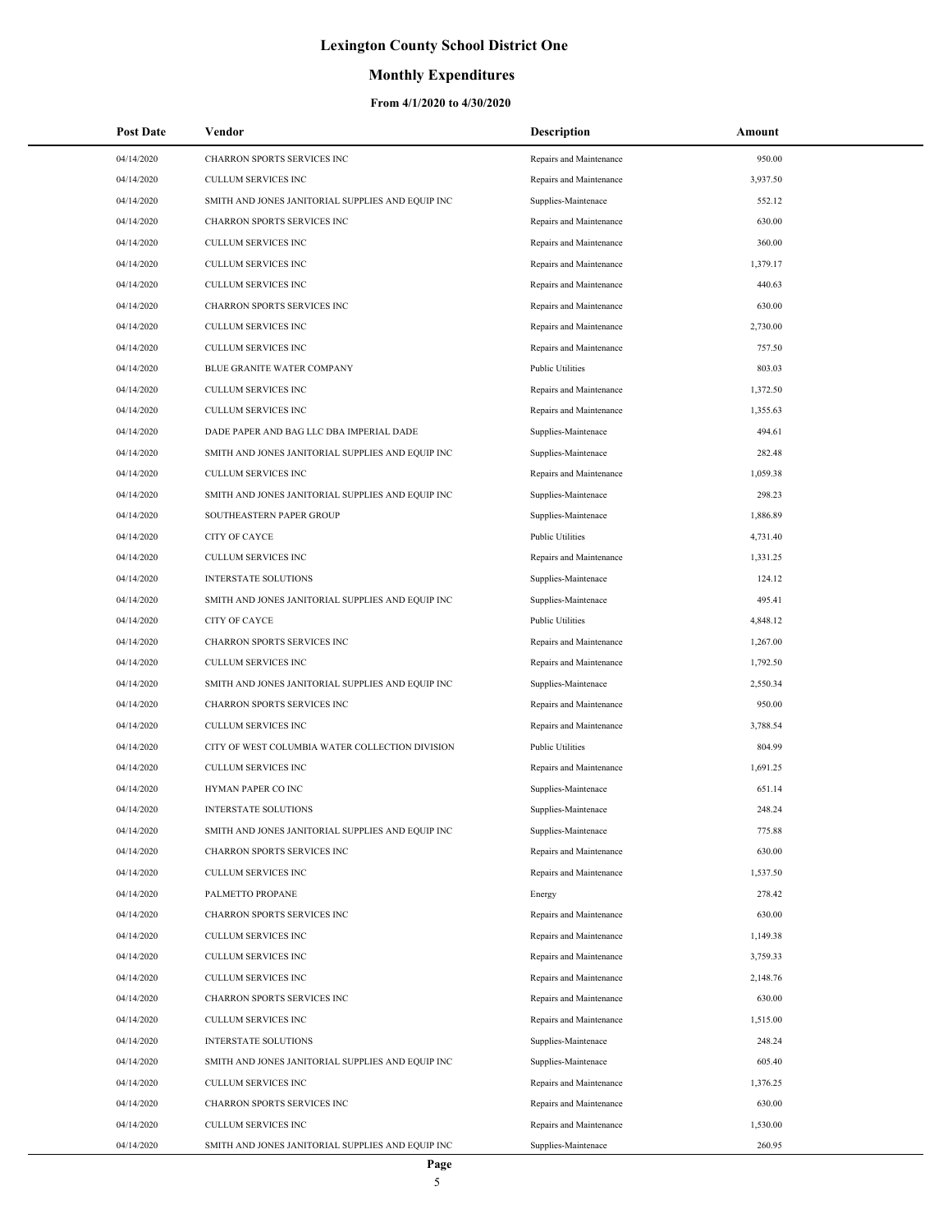### **Monthly Expenditures**

| <b>Post Date</b> | Vendor                                            | <b>Description</b>      | Amount   |
|------------------|---------------------------------------------------|-------------------------|----------|
| 04/14/2020       | CHARRON SPORTS SERVICES INC                       | Repairs and Maintenance | 950.00   |
| 04/14/2020       | CULLUM SERVICES INC                               | Repairs and Maintenance | 3,937.50 |
| 04/14/2020       | SMITH AND JONES JANITORIAL SUPPLIES AND EQUIP INC | Supplies-Maintenace     | 552.12   |
| 04/14/2020       | CHARRON SPORTS SERVICES INC                       | Repairs and Maintenance | 630.00   |
| 04/14/2020       | CULLUM SERVICES INC                               | Repairs and Maintenance | 360.00   |
| 04/14/2020       | <b>CULLUM SERVICES INC</b>                        | Repairs and Maintenance | 1,379.17 |
| 04/14/2020       | CULLUM SERVICES INC                               | Repairs and Maintenance | 440.63   |
| 04/14/2020       | CHARRON SPORTS SERVICES INC                       | Repairs and Maintenance | 630.00   |
| 04/14/2020       | CULLUM SERVICES INC                               | Repairs and Maintenance | 2,730.00 |
| 04/14/2020       | CULLUM SERVICES INC                               | Repairs and Maintenance | 757.50   |
| 04/14/2020       | BLUE GRANITE WATER COMPANY                        | <b>Public Utilities</b> | 803.03   |
| 04/14/2020       | CULLUM SERVICES INC                               | Repairs and Maintenance | 1,372.50 |
| 04/14/2020       | <b>CULLUM SERVICES INC</b>                        | Repairs and Maintenance | 1,355.63 |
| 04/14/2020       | DADE PAPER AND BAG LLC DBA IMPERIAL DADE          | Supplies-Maintenace     | 494.61   |
| 04/14/2020       | SMITH AND JONES JANITORIAL SUPPLIES AND EQUIP INC | Supplies-Maintenace     | 282.48   |
| 04/14/2020       | CULLUM SERVICES INC                               | Repairs and Maintenance | 1,059.38 |
| 04/14/2020       | SMITH AND JONES JANITORIAL SUPPLIES AND EQUIP INC | Supplies-Maintenace     | 298.23   |
| 04/14/2020       | SOUTHEASTERN PAPER GROUP                          | Supplies-Maintenace     | 1,886.89 |
| 04/14/2020       | CITY OF CAYCE                                     | <b>Public Utilities</b> | 4,731.40 |
| 04/14/2020       | <b>CULLUM SERVICES INC</b>                        | Repairs and Maintenance | 1,331.25 |
| 04/14/2020       | INTERSTATE SOLUTIONS                              | Supplies-Maintenace     | 124.12   |
| 04/14/2020       | SMITH AND JONES JANITORIAL SUPPLIES AND EQUIP INC | Supplies-Maintenace     | 495.41   |
| 04/14/2020       | <b>CITY OF CAYCE</b>                              | <b>Public Utilities</b> | 4,848.12 |
| 04/14/2020       | CHARRON SPORTS SERVICES INC                       | Repairs and Maintenance | 1,267.00 |
| 04/14/2020       | CULLUM SERVICES INC                               | Repairs and Maintenance | 1,792.50 |
| 04/14/2020       | SMITH AND JONES JANITORIAL SUPPLIES AND EQUIP INC | Supplies-Maintenace     | 2,550.34 |
| 04/14/2020       | CHARRON SPORTS SERVICES INC                       | Repairs and Maintenance | 950.00   |
| 04/14/2020       | CULLUM SERVICES INC                               | Repairs and Maintenance | 3,788.54 |
| 04/14/2020       | CITY OF WEST COLUMBIA WATER COLLECTION DIVISION   | <b>Public Utilities</b> | 804.99   |
| 04/14/2020       | <b>CULLUM SERVICES INC</b>                        | Repairs and Maintenance | 1,691.25 |
| 04/14/2020       | HYMAN PAPER CO INC                                | Supplies-Maintenace     | 651.14   |
| 04/14/2020       | <b>INTERSTATE SOLUTIONS</b>                       | Supplies-Maintenace     | 248.24   |
| 04/14/2020       | SMITH AND JONES JANITORIAL SUPPLIES AND EQUIP INC | Supplies-Maintenace     | 775.88   |
| 04/14/2020       | CHARRON SPORTS SERVICES INC                       | Repairs and Maintenance | 630.00   |
| 04/14/2020       | CULLUM SERVICES INC                               | Repairs and Maintenance | 1,537.50 |
| 04/14/2020       | PALMETTO PROPANE                                  | Energy                  | 278.42   |
| 04/14/2020       | CHARRON SPORTS SERVICES INC                       | Repairs and Maintenance | 630.00   |
| 04/14/2020       | CULLUM SERVICES INC                               | Repairs and Maintenance | 1,149.38 |
| 04/14/2020       | <b>CULLUM SERVICES INC</b>                        | Repairs and Maintenance | 3,759.33 |
| 04/14/2020       | CULLUM SERVICES INC                               | Repairs and Maintenance | 2,148.76 |
| 04/14/2020       | CHARRON SPORTS SERVICES INC                       | Repairs and Maintenance | 630.00   |
| 04/14/2020       | CULLUM SERVICES INC                               | Repairs and Maintenance | 1,515.00 |
| 04/14/2020       | INTERSTATE SOLUTIONS                              | Supplies-Maintenace     | 248.24   |
| 04/14/2020       | SMITH AND JONES JANITORIAL SUPPLIES AND EQUIP INC | Supplies-Maintenace     | 605.40   |
| 04/14/2020       | CULLUM SERVICES INC                               | Repairs and Maintenance | 1,376.25 |
| 04/14/2020       | CHARRON SPORTS SERVICES INC                       | Repairs and Maintenance | 630.00   |
| 04/14/2020       | CULLUM SERVICES INC                               | Repairs and Maintenance | 1,530.00 |
| 04/14/2020       | SMITH AND JONES JANITORIAL SUPPLIES AND EQUIP INC | Supplies-Maintenace     | 260.95   |
|                  | Page                                              |                         |          |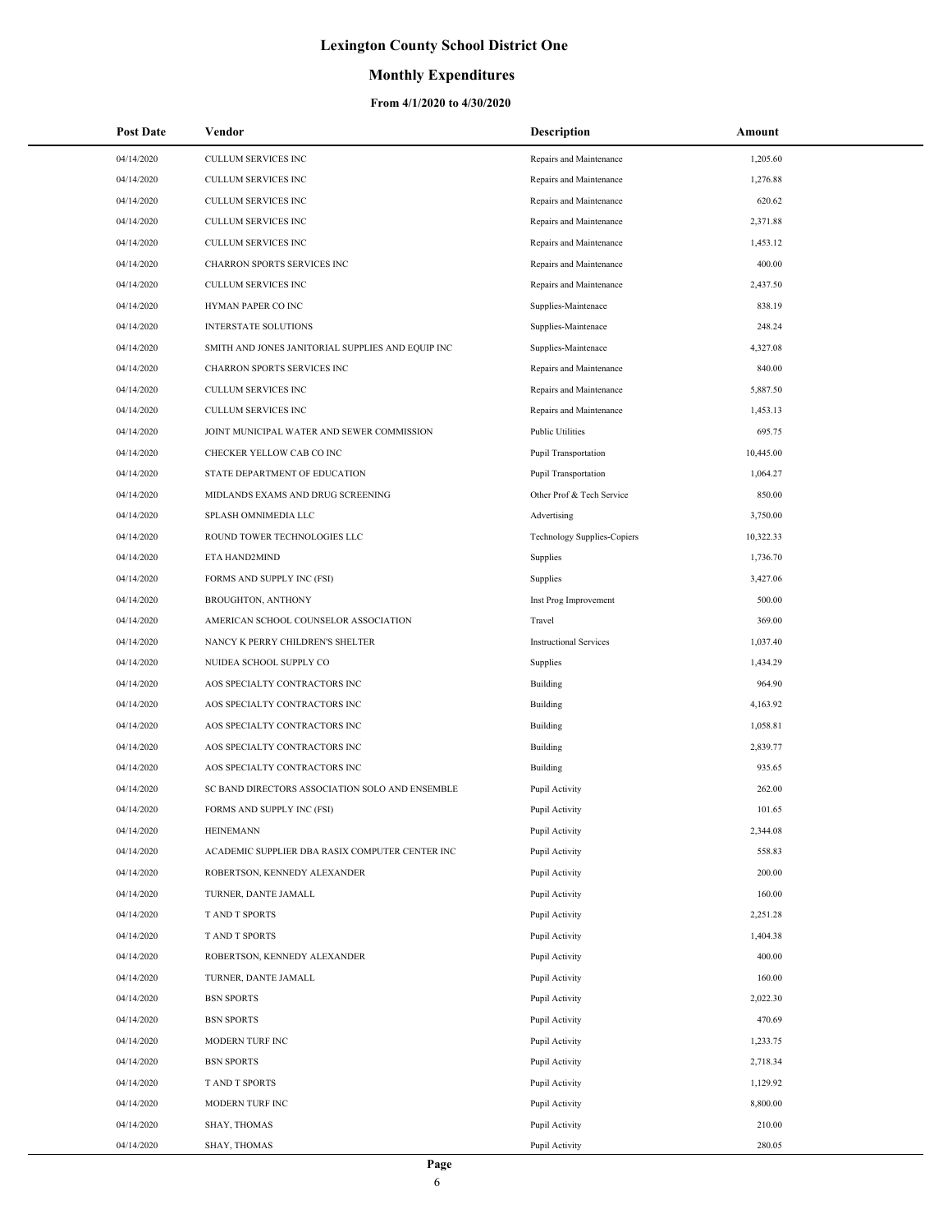## **Monthly Expenditures**

#### **From 4/1/2020 to 4/30/2020**

÷,

| <b>Post Date</b> | Vendor                                            | <b>Description</b>            | Amount    |
|------------------|---------------------------------------------------|-------------------------------|-----------|
| 04/14/2020       | <b>CULLUM SERVICES INC</b>                        | Repairs and Maintenance       | 1,205.60  |
| 04/14/2020       | CULLUM SERVICES INC                               | Repairs and Maintenance       | 1,276.88  |
| 04/14/2020       | CULLUM SERVICES INC                               | Repairs and Maintenance       | 620.62    |
| 04/14/2020       | <b>CULLUM SERVICES INC</b>                        | Repairs and Maintenance       | 2.371.88  |
| 04/14/2020       | CULLUM SERVICES INC                               | Repairs and Maintenance       | 1,453.12  |
| 04/14/2020       | CHARRON SPORTS SERVICES INC                       | Repairs and Maintenance       | 400.00    |
| 04/14/2020       | <b>CULLUM SERVICES INC</b>                        | Repairs and Maintenance       | 2,437.50  |
| 04/14/2020       | HYMAN PAPER CO INC                                | Supplies-Maintenace           | 838.19    |
| 04/14/2020       | INTERSTATE SOLUTIONS                              | Supplies-Maintenace           | 248.24    |
| 04/14/2020       | SMITH AND JONES JANITORIAL SUPPLIES AND EQUIP INC | Supplies-Maintenace           | 4,327.08  |
| 04/14/2020       | <b>CHARRON SPORTS SERVICES INC</b>                | Repairs and Maintenance       | 840.00    |
| 04/14/2020       | <b>CULLUM SERVICES INC</b>                        | Repairs and Maintenance       | 5,887.50  |
| 04/14/2020       | CULLUM SERVICES INC                               | Repairs and Maintenance       | 1,453.13  |
| 04/14/2020       | JOINT MUNICIPAL WATER AND SEWER COMMISSION        | <b>Public Utilities</b>       | 695.75    |
| 04/14/2020       | CHECKER YELLOW CAB CO INC                         | <b>Pupil Transportation</b>   | 10,445.00 |
| 04/14/2020       | STATE DEPARTMENT OF EDUCATION                     | <b>Pupil Transportation</b>   | 1.064.27  |
| 04/14/2020       | MIDLANDS EXAMS AND DRUG SCREENING                 | Other Prof & Tech Service     | 850.00    |
| 04/14/2020       | SPLASH OMNIMEDIA LLC                              | Advertising                   | 3,750.00  |
| 04/14/2020       | ROUND TOWER TECHNOLOGIES LLC                      | Technology Supplies-Copiers   | 10,322.33 |
| 04/14/2020       | ETA HAND2MIND                                     | Supplies                      | 1,736.70  |
| 04/14/2020       | FORMS AND SUPPLY INC (FSI)                        | Supplies                      | 3,427.06  |
| 04/14/2020       | <b>BROUGHTON, ANTHONY</b>                         | Inst Prog Improvement         | 500.00    |
| 04/14/2020       | AMERICAN SCHOOL COUNSELOR ASSOCIATION             | Travel                        | 369.00    |
| 04/14/2020       | NANCY K PERRY CHILDREN'S SHELTER                  | <b>Instructional Services</b> | 1,037.40  |
| 04/14/2020       | NUIDEA SCHOOL SUPPLY CO                           | Supplies                      | 1,434.29  |
| 04/14/2020       | AOS SPECIALTY CONTRACTORS INC                     | <b>Building</b>               | 964.90    |
| 04/14/2020       | AOS SPECIALTY CONTRACTORS INC                     | <b>Building</b>               | 4,163.92  |
| 04/14/2020       | AOS SPECIALTY CONTRACTORS INC                     | <b>Building</b>               | 1,058.81  |
| 04/14/2020       | AOS SPECIALTY CONTRACTORS INC                     | Building                      | 2,839.77  |
| 04/14/2020       | AOS SPECIALTY CONTRACTORS INC                     | <b>Building</b>               | 935.65    |
| 04/14/2020       | SC BAND DIRECTORS ASSOCIATION SOLO AND ENSEMBLE   | Pupil Activity                | 262.00    |
| 04/14/2020       | FORMS AND SUPPLY INC (FSI)                        | Pupil Activity                | 101.65    |
| 04/14/2020       | <b>HEINEMANN</b>                                  | Pupil Activity                | 2,344.08  |
| 04/14/2020       | ACADEMIC SUPPLIER DBA RASIX COMPUTER CENTER INC   | Pupil Activity                | 558.83    |
| 04/14/2020       | ROBERTSON, KENNEDY ALEXANDER                      | Pupil Activity                | 200.00    |
| 04/14/2020       | TURNER, DANTE JAMALL                              | Pupil Activity                | 160.00    |
| 04/14/2020       | T AND T SPORTS                                    | Pupil Activity                | 2,251.28  |
| 04/14/2020       | T AND T SPORTS                                    | Pupil Activity                | 1,404.38  |
| 04/14/2020       | ROBERTSON, KENNEDY ALEXANDER                      | Pupil Activity                | 400.00    |
| 04/14/2020       | TURNER, DANTE JAMALL                              | Pupil Activity                | 160.00    |
| 04/14/2020       | <b>BSN SPORTS</b>                                 | Pupil Activity                | 2,022.30  |
| 04/14/2020       | <b>BSN SPORTS</b>                                 | Pupil Activity                | 470.69    |
| 04/14/2020       | MODERN TURF INC                                   | Pupil Activity                | 1,233.75  |
| 04/14/2020       | <b>BSN SPORTS</b>                                 | Pupil Activity                | 2,718.34  |
| 04/14/2020       | T AND T SPORTS                                    | Pupil Activity                | 1,129.92  |
| 04/14/2020       | MODERN TURF INC                                   | Pupil Activity                | 8,800.00  |
| 04/14/2020       | SHAY, THOMAS                                      | Pupil Activity                | 210.00    |
| 04/14/2020       | SHAY, THOMAS                                      | Pupil Activity                | 280.05    |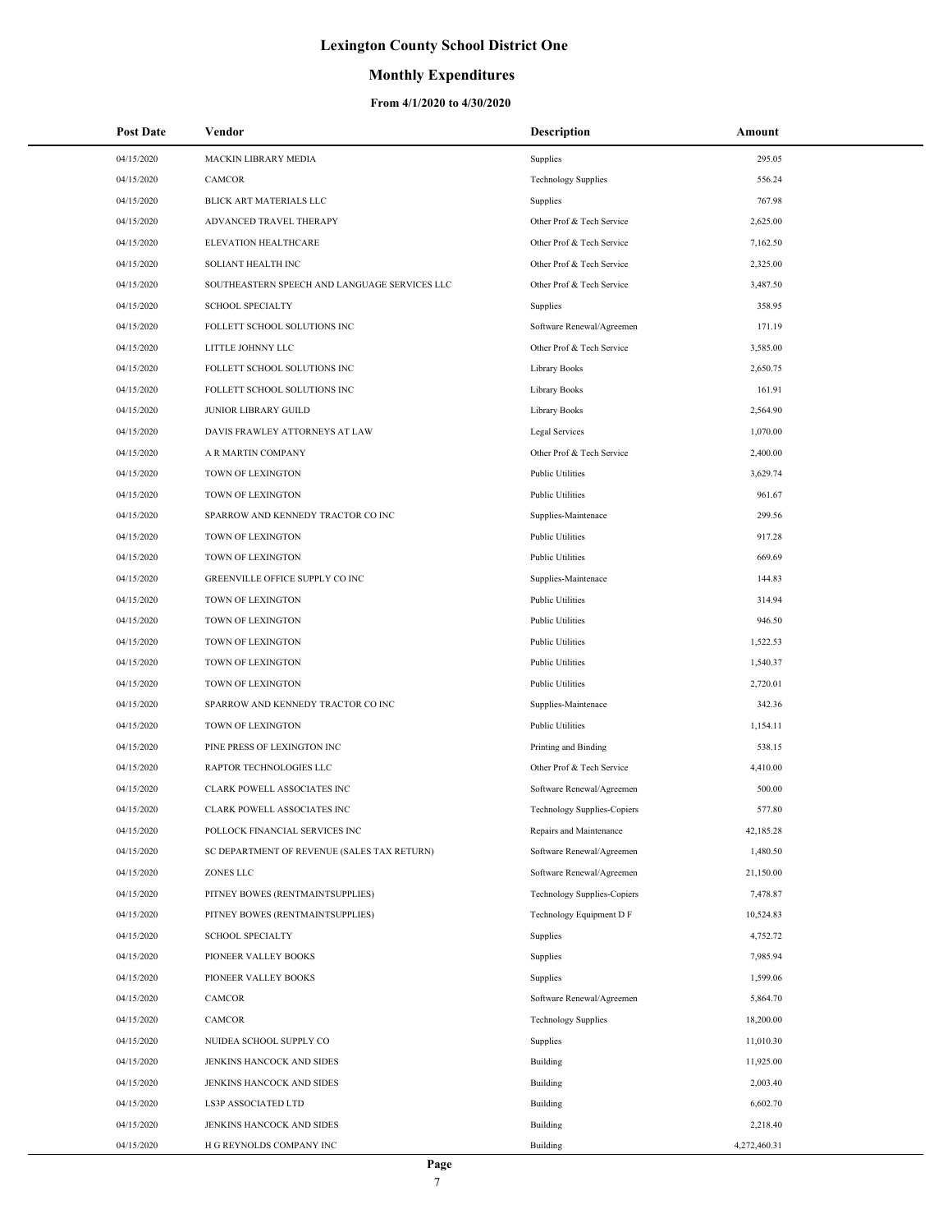### **Monthly Expenditures**

| <b>Post Date</b> | Vendor                                        | Description                        | Amount       |
|------------------|-----------------------------------------------|------------------------------------|--------------|
| 04/15/2020       | MACKIN LIBRARY MEDIA                          | Supplies                           | 295.05       |
| 04/15/2020       | <b>CAMCOR</b>                                 | <b>Technology Supplies</b>         | 556.24       |
| 04/15/2020       | BLICK ART MATERIALS LLC                       | Supplies                           | 767.98       |
| 04/15/2020       | ADVANCED TRAVEL THERAPY                       | Other Prof & Tech Service          | 2,625.00     |
| 04/15/2020       | ELEVATION HEALTHCARE                          | Other Prof & Tech Service          | 7,162.50     |
| 04/15/2020       | SOLIANT HEALTH INC                            | Other Prof & Tech Service          | 2,325.00     |
| 04/15/2020       | SOUTHEASTERN SPEECH AND LANGUAGE SERVICES LLC | Other Prof & Tech Service          | 3,487.50     |
| 04/15/2020       | <b>SCHOOL SPECIALTY</b>                       | Supplies                           | 358.95       |
| 04/15/2020       | FOLLETT SCHOOL SOLUTIONS INC                  | Software Renewal/Agreemen          | 171.19       |
| 04/15/2020       | LITTLE JOHNNY LLC                             | Other Prof & Tech Service          | 3,585.00     |
| 04/15/2020       | FOLLETT SCHOOL SOLUTIONS INC                  | Library Books                      | 2,650.75     |
| 04/15/2020       | FOLLETT SCHOOL SOLUTIONS INC                  | <b>Library Books</b>               | 161.91       |
| 04/15/2020       | JUNIOR LIBRARY GUILD                          | <b>Library Books</b>               | 2,564.90     |
| 04/15/2020       | DAVIS FRAWLEY ATTORNEYS AT LAW                | Legal Services                     | 1,070.00     |
| 04/15/2020       | A R MARTIN COMPANY                            | Other Prof & Tech Service          | 2,400.00     |
| 04/15/2020       | TOWN OF LEXINGTON                             | <b>Public Utilities</b>            | 3,629.74     |
| 04/15/2020       | TOWN OF LEXINGTON                             | <b>Public Utilities</b>            | 961.67       |
| 04/15/2020       | SPARROW AND KENNEDY TRACTOR CO INC            | Supplies-Maintenace                | 299.56       |
| 04/15/2020       | TOWN OF LEXINGTON                             | <b>Public Utilities</b>            | 917.28       |
| 04/15/2020       | TOWN OF LEXINGTON                             | <b>Public Utilities</b>            | 669.69       |
| 04/15/2020       | GREENVILLE OFFICE SUPPLY CO INC               | Supplies-Maintenace                | 144.83       |
| 04/15/2020       | TOWN OF LEXINGTON                             | <b>Public Utilities</b>            | 314.94       |
| 04/15/2020       | TOWN OF LEXINGTON                             | <b>Public Utilities</b>            | 946.50       |
| 04/15/2020       | TOWN OF LEXINGTON                             | <b>Public Utilities</b>            | 1,522.53     |
| 04/15/2020       | TOWN OF LEXINGTON                             | <b>Public Utilities</b>            | 1,540.37     |
| 04/15/2020       | TOWN OF LEXINGTON                             | <b>Public Utilities</b>            | 2,720.01     |
| 04/15/2020       | SPARROW AND KENNEDY TRACTOR CO INC            | Supplies-Maintenace                | 342.36       |
| 04/15/2020       | TOWN OF LEXINGTON                             | <b>Public Utilities</b>            | 1,154.11     |
| 04/15/2020       | PINE PRESS OF LEXINGTON INC                   | Printing and Binding               | 538.15       |
| 04/15/2020       | RAPTOR TECHNOLOGIES LLC                       | Other Prof & Tech Service          | 4,410.00     |
| 04/15/2020       | CLARK POWELL ASSOCIATES INC                   | Software Renewal/Agreemen          | 500.00       |
| 04/15/2020       | <b>CLARK POWELL ASSOCIATES INC</b>            | Technology Supplies-Copiers        | 577.80       |
| 04/15/2020       | POLLOCK FINANCIAL SERVICES INC                | Repairs and Maintenance            | 42,185.28    |
| 04/15/2020       | SC DEPARTMENT OF REVENUE (SALES TAX RETURN)   | Software Renewal/Agreemen          | 1,480.50     |
| 04/15/2020       | ZONES LLC                                     | Software Renewal/Agreemen          | 21,150.00    |
| 04/15/2020       | PITNEY BOWES (RENTMAINTSUPPLIES)              | <b>Technology Supplies-Copiers</b> | 7,478.87     |
| 04/15/2020       | PITNEY BOWES (RENTMAINTSUPPLIES)              | Technology Equipment D F           | 10,524.83    |
| 04/15/2020       | <b>SCHOOL SPECIALTY</b>                       | Supplies                           | 4,752.72     |
| 04/15/2020       | PIONEER VALLEY BOOKS                          | Supplies                           | 7,985.94     |
| 04/15/2020       | PIONEER VALLEY BOOKS                          | Supplies                           | 1,599.06     |
| 04/15/2020       | CAMCOR                                        | Software Renewal/Agreemen          | 5,864.70     |
| 04/15/2020       | CAMCOR                                        | <b>Technology Supplies</b>         | 18,200.00    |
| 04/15/2020       | NUIDEA SCHOOL SUPPLY CO                       | Supplies                           | 11,010.30    |
| 04/15/2020       | JENKINS HANCOCK AND SIDES                     | Building                           | 11,925.00    |
| 04/15/2020       | JENKINS HANCOCK AND SIDES                     | Building                           | 2,003.40     |
| 04/15/2020       | LS3P ASSOCIATED LTD                           | Building                           | 6,602.70     |
| 04/15/2020       | JENKINS HANCOCK AND SIDES                     | Building                           | 2,218.40     |
| 04/15/2020       | H G REYNOLDS COMPANY INC                      | Building                           | 4,272,460.31 |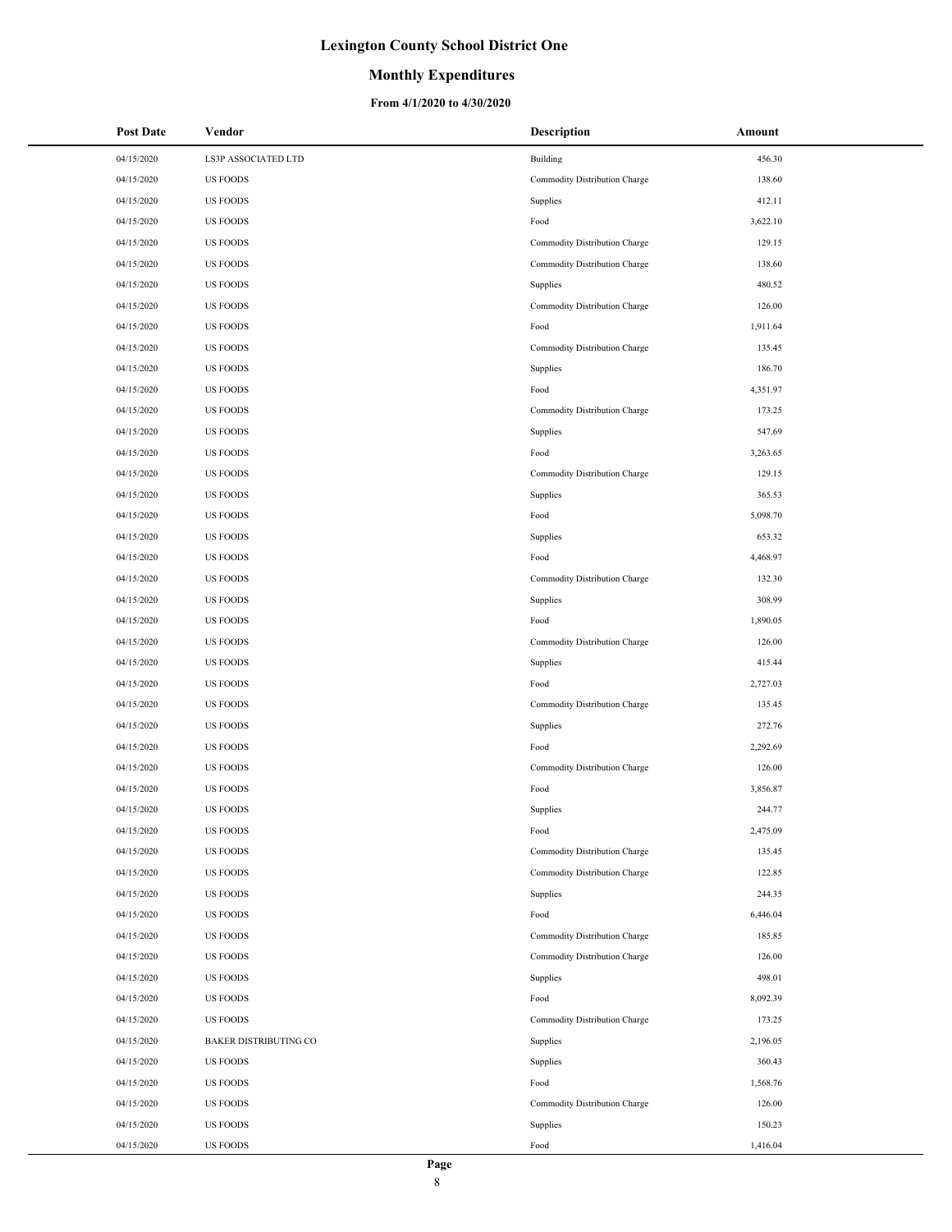### **Monthly Expenditures**

#### **From 4/1/2020 to 4/30/2020**

| Post Date  | Vendor                       | <b>Description</b>            | Amount   |
|------------|------------------------------|-------------------------------|----------|
| 04/15/2020 | LS3P ASSOCIATED LTD          | Building                      | 456.30   |
| 04/15/2020 | <b>US FOODS</b>              | Commodity Distribution Charge | 138.60   |
| 04/15/2020 | <b>US FOODS</b>              | Supplies                      | 412.11   |
| 04/15/2020 | <b>US FOODS</b>              | Food                          | 3,622.10 |
| 04/15/2020 | <b>US FOODS</b>              | Commodity Distribution Charge | 129.15   |
| 04/15/2020 | <b>US FOODS</b>              | Commodity Distribution Charge | 138.60   |
| 04/15/2020 | <b>US FOODS</b>              | Supplies                      | 480.52   |
| 04/15/2020 | <b>US FOODS</b>              | Commodity Distribution Charge | 126.00   |
| 04/15/2020 | <b>US FOODS</b>              | Food                          | 1,911.64 |
| 04/15/2020 | <b>US FOODS</b>              | Commodity Distribution Charge | 135.45   |
| 04/15/2020 | <b>US FOODS</b>              | Supplies                      | 186.70   |
| 04/15/2020 | <b>US FOODS</b>              | Food                          | 4,351.97 |
| 04/15/2020 | <b>US FOODS</b>              | Commodity Distribution Charge | 173.25   |
| 04/15/2020 | <b>US FOODS</b>              | Supplies                      | 547.69   |
| 04/15/2020 | <b>US FOODS</b>              | Food                          | 3,263.65 |
| 04/15/2020 | <b>US FOODS</b>              | Commodity Distribution Charge | 129.15   |
| 04/15/2020 | <b>US FOODS</b>              | Supplies                      | 365.53   |
| 04/15/2020 | <b>US FOODS</b>              | Food                          | 5,098.70 |
| 04/15/2020 | <b>US FOODS</b>              | Supplies                      | 653.32   |
| 04/15/2020 | <b>US FOODS</b>              | Food                          | 4,468.97 |
| 04/15/2020 | <b>US FOODS</b>              | Commodity Distribution Charge | 132.30   |
| 04/15/2020 | <b>US FOODS</b>              | Supplies                      | 308.99   |
| 04/15/2020 | <b>US FOODS</b>              | Food                          | 1,890.05 |
| 04/15/2020 | <b>US FOODS</b>              | Commodity Distribution Charge | 126.00   |
| 04/15/2020 | <b>US FOODS</b>              | Supplies                      | 415.44   |
| 04/15/2020 | <b>US FOODS</b>              | Food                          | 2,727.03 |
| 04/15/2020 | <b>US FOODS</b>              | Commodity Distribution Charge | 135.45   |
| 04/15/2020 | <b>US FOODS</b>              | Supplies                      | 272.76   |
| 04/15/2020 | <b>US FOODS</b>              | Food                          | 2,292.69 |
| 04/15/2020 | <b>US FOODS</b>              | Commodity Distribution Charge | 126.00   |
| 04/15/2020 | <b>US FOODS</b>              | Food                          | 3,856.87 |
| 04/15/2020 | <b>US FOODS</b>              | Supplies                      | 244.77   |
| 04/15/2020 | <b>US FOODS</b>              | Food                          | 2,475.09 |
| 04/15/2020 | <b>US FOODS</b>              | Commodity Distribution Charge | 135.45   |
| 04/15/2020 | <b>US FOODS</b>              | Commodity Distribution Charge | 122.85   |
| 04/15/2020 | <b>US FOODS</b>              | Supplies                      | 244.35   |
| 04/15/2020 | <b>US FOODS</b>              | Food                          | 6,446.04 |
| 04/15/2020 | <b>US FOODS</b>              | Commodity Distribution Charge | 185.85   |
| 04/15/2020 | <b>US FOODS</b>              | Commodity Distribution Charge | 126.00   |
| 04/15/2020 | <b>US FOODS</b>              | Supplies                      | 498.01   |
| 04/15/2020 | <b>US FOODS</b>              | Food                          | 8,092.39 |
| 04/15/2020 | <b>US FOODS</b>              | Commodity Distribution Charge | 173.25   |
| 04/15/2020 | <b>BAKER DISTRIBUTING CO</b> | Supplies                      | 2,196.05 |
| 04/15/2020 | <b>US FOODS</b>              | Supplies                      | 360.43   |
| 04/15/2020 | <b>US FOODS</b>              | Food                          | 1,568.76 |
| 04/15/2020 | <b>US FOODS</b>              | Commodity Distribution Charge | 126.00   |
| 04/15/2020 | <b>US FOODS</b>              | Supplies                      | 150.23   |
| 04/15/2020 | <b>US FOODS</b>              | Food                          | 1,416.04 |

 $\overline{a}$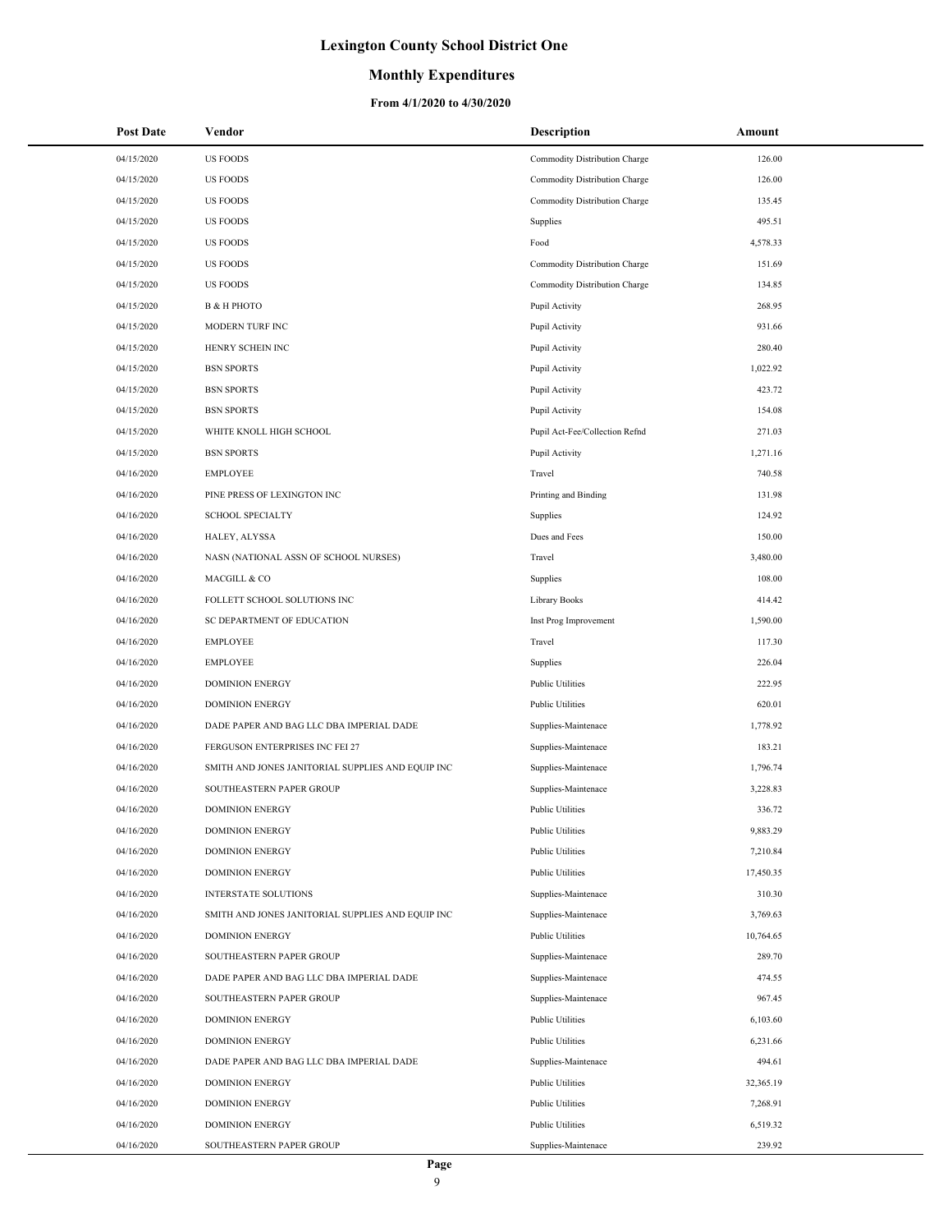### **Monthly Expenditures**

#### **From 4/1/2020 to 4/30/2020**

| <b>Post Date</b> | Vendor                                            | <b>Description</b>             | Amount    |
|------------------|---------------------------------------------------|--------------------------------|-----------|
| 04/15/2020       | <b>US FOODS</b>                                   | Commodity Distribution Charge  | 126.00    |
| 04/15/2020       | <b>US FOODS</b>                                   | Commodity Distribution Charge  | 126.00    |
| 04/15/2020       | <b>US FOODS</b>                                   | Commodity Distribution Charge  | 135.45    |
| 04/15/2020       | <b>US FOODS</b>                                   | Supplies                       | 495.51    |
| 04/15/2020       | <b>US FOODS</b>                                   | Food                           | 4,578.33  |
| 04/15/2020       | <b>US FOODS</b>                                   | Commodity Distribution Charge  | 151.69    |
| 04/15/2020       | <b>US FOODS</b>                                   | Commodity Distribution Charge  | 134.85    |
| 04/15/2020       | В & Н РНОТО                                       | Pupil Activity                 | 268.95    |
| 04/15/2020       | MODERN TURF INC                                   | Pupil Activity                 | 931.66    |
| 04/15/2020       | HENRY SCHEIN INC                                  | Pupil Activity                 | 280.40    |
| 04/15/2020       | <b>BSN SPORTS</b>                                 | Pupil Activity                 | 1,022.92  |
| 04/15/2020       | <b>BSN SPORTS</b>                                 | Pupil Activity                 | 423.72    |
| 04/15/2020       | <b>BSN SPORTS</b>                                 | Pupil Activity                 | 154.08    |
| 04/15/2020       | WHITE KNOLL HIGH SCHOOL                           | Pupil Act-Fee/Collection Refnd | 271.03    |
| 04/15/2020       | <b>BSN SPORTS</b>                                 | Pupil Activity                 | 1,271.16  |
| 04/16/2020       | <b>EMPLOYEE</b>                                   | Travel                         | 740.58    |
| 04/16/2020       | PINE PRESS OF LEXINGTON INC                       | Printing and Binding           | 131.98    |
| 04/16/2020       | <b>SCHOOL SPECIALTY</b>                           | Supplies                       | 124.92    |
| 04/16/2020       | HALEY, ALYSSA                                     | Dues and Fees                  | 150.00    |
| 04/16/2020       | NASN (NATIONAL ASSN OF SCHOOL NURSES)             | Travel                         | 3,480.00  |
| 04/16/2020       | MACGILL & CO                                      | Supplies                       | 108.00    |
| 04/16/2020       | FOLLETT SCHOOL SOLUTIONS INC                      | Library Books                  | 414.42    |
| 04/16/2020       | SC DEPARTMENT OF EDUCATION                        | Inst Prog Improvement          | 1,590.00  |
| 04/16/2020       | <b>EMPLOYEE</b>                                   | Travel                         | 117.30    |
| 04/16/2020       | <b>EMPLOYEE</b>                                   | Supplies                       | 226.04    |
| 04/16/2020       | <b>DOMINION ENERGY</b>                            | <b>Public Utilities</b>        | 222.95    |
| 04/16/2020       | <b>DOMINION ENERGY</b>                            | <b>Public Utilities</b>        | 620.01    |
| 04/16/2020       | DADE PAPER AND BAG LLC DBA IMPERIAL DADE          | Supplies-Maintenace            | 1,778.92  |
| 04/16/2020       | FERGUSON ENTERPRISES INC FEI 27                   | Supplies-Maintenace            | 183.21    |
| 04/16/2020       | SMITH AND JONES JANITORIAL SUPPLIES AND EQUIP INC | Supplies-Maintenace            | 1,796.74  |
| 04/16/2020       | SOUTHEASTERN PAPER GROUP                          | Supplies-Maintenace            | 3,228.83  |
| 04/16/2020       | <b>DOMINION ENERGY</b>                            | <b>Public Utilities</b>        | 336.72    |
| 04/16/2020       | <b>DOMINION ENERGY</b>                            | Public Utilities               | 9,883.29  |
| 04/16/2020       | <b>DOMINION ENERGY</b>                            | Public Utilities               | 7,210.84  |
| 04/16/2020       | <b>DOMINION ENERGY</b>                            | Public Utilities               | 17,450.35 |
| 04/16/2020       | <b>INTERSTATE SOLUTIONS</b>                       | Supplies-Maintenace            | 310.30    |
| 04/16/2020       | SMITH AND JONES JANITORIAL SUPPLIES AND EQUIP INC | Supplies-Maintenace            | 3,769.63  |
| 04/16/2020       | <b>DOMINION ENERGY</b>                            | <b>Public Utilities</b>        | 10,764.65 |
| 04/16/2020       | SOUTHEASTERN PAPER GROUP                          | Supplies-Maintenace            | 289.70    |
| 04/16/2020       | DADE PAPER AND BAG LLC DBA IMPERIAL DADE          | Supplies-Maintenace            | 474.55    |
| 04/16/2020       | SOUTHEASTERN PAPER GROUP                          | Supplies-Maintenace            | 967.45    |
| 04/16/2020       | <b>DOMINION ENERGY</b>                            | <b>Public Utilities</b>        | 6,103.60  |
| 04/16/2020       | <b>DOMINION ENERGY</b>                            | <b>Public Utilities</b>        | 6,231.66  |
| 04/16/2020       | DADE PAPER AND BAG LLC DBA IMPERIAL DADE          | Supplies-Maintenace            | 494.61    |
| 04/16/2020       | <b>DOMINION ENERGY</b>                            | Public Utilities               | 32,365.19 |
| 04/16/2020       | <b>DOMINION ENERGY</b>                            | Public Utilities               | 7,268.91  |
| 04/16/2020       | <b>DOMINION ENERGY</b>                            | Public Utilities               | 6,519.32  |
| 04/16/2020       | SOUTHEASTERN PAPER GROUP                          | Supplies-Maintenace            | 239.92    |

 $\overline{\phantom{a}}$ 

 $\overline{\phantom{a}}$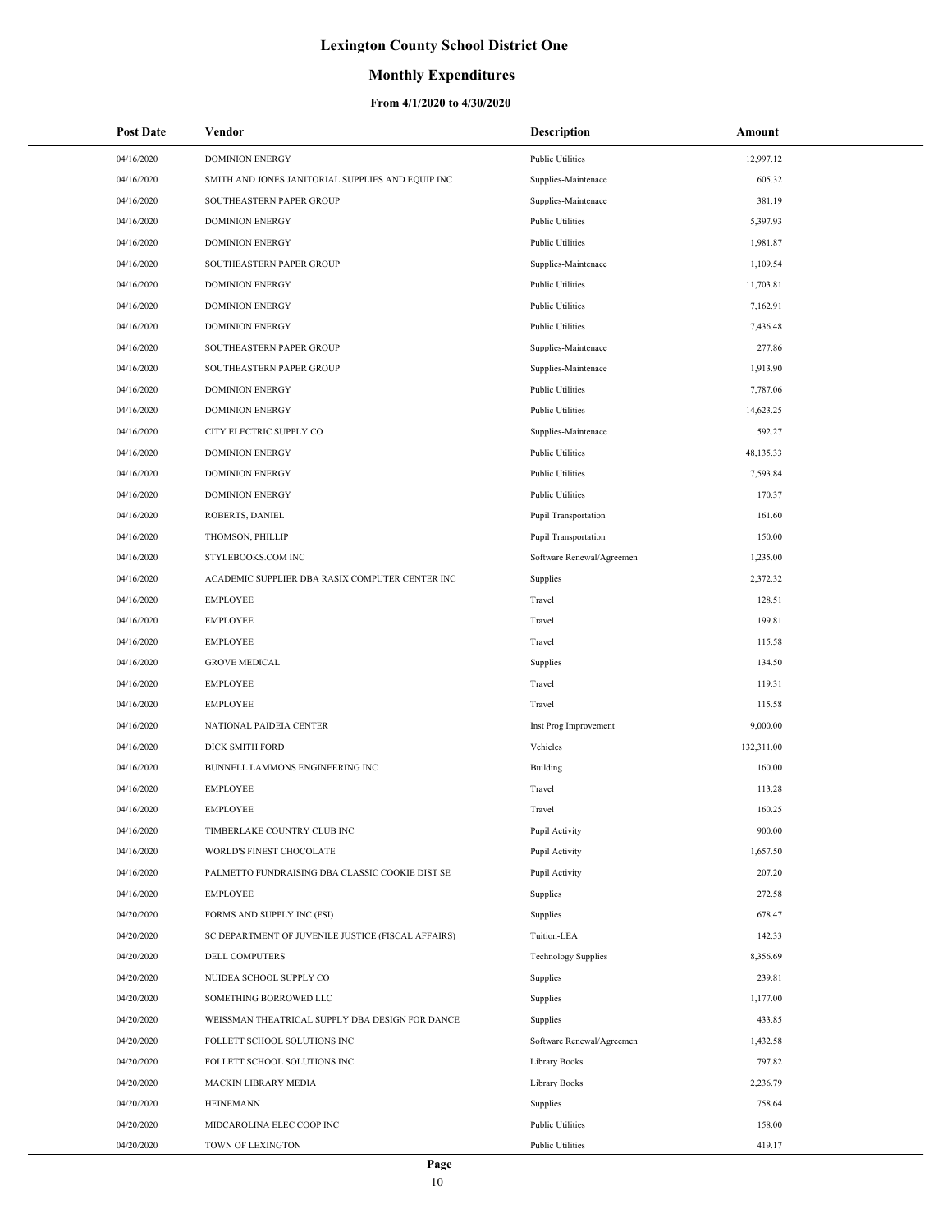### **Monthly Expenditures**

| <b>Post Date</b> | Vendor                                             | <b>Description</b>         | Amount     |  |
|------------------|----------------------------------------------------|----------------------------|------------|--|
| 04/16/2020       | <b>DOMINION ENERGY</b>                             | <b>Public Utilities</b>    | 12,997.12  |  |
| 04/16/2020       | SMITH AND JONES JANITORIAL SUPPLIES AND EQUIP INC  | Supplies-Maintenace        | 605.32     |  |
| 04/16/2020       | SOUTHEASTERN PAPER GROUP                           | Supplies-Maintenace        | 381.19     |  |
| 04/16/2020       | <b>DOMINION ENERGY</b>                             | <b>Public Utilities</b>    | 5,397.93   |  |
| 04/16/2020       | <b>DOMINION ENERGY</b>                             | <b>Public Utilities</b>    | 1,981.87   |  |
| 04/16/2020       | SOUTHEASTERN PAPER GROUP                           | Supplies-Maintenace        | 1,109.54   |  |
| 04/16/2020       | <b>DOMINION ENERGY</b>                             | Public Utilities           | 11,703.81  |  |
| 04/16/2020       | <b>DOMINION ENERGY</b>                             | <b>Public Utilities</b>    | 7,162.91   |  |
| 04/16/2020       | <b>DOMINION ENERGY</b>                             | <b>Public Utilities</b>    | 7,436.48   |  |
| 04/16/2020       | SOUTHEASTERN PAPER GROUP                           | Supplies-Maintenace        | 277.86     |  |
| 04/16/2020       | SOUTHEASTERN PAPER GROUP                           | Supplies-Maintenace        | 1,913.90   |  |
| 04/16/2020       | <b>DOMINION ENERGY</b>                             | <b>Public Utilities</b>    | 7,787.06   |  |
| 04/16/2020       | <b>DOMINION ENERGY</b>                             | <b>Public Utilities</b>    | 14,623.25  |  |
| 04/16/2020       | CITY ELECTRIC SUPPLY CO                            | Supplies-Maintenace        | 592.27     |  |
| 04/16/2020       | <b>DOMINION ENERGY</b>                             | <b>Public Utilities</b>    | 48,135.33  |  |
| 04/16/2020       | <b>DOMINION ENERGY</b>                             | <b>Public Utilities</b>    | 7,593.84   |  |
| 04/16/2020       | <b>DOMINION ENERGY</b>                             | <b>Public Utilities</b>    | 170.37     |  |
| 04/16/2020       | ROBERTS, DANIEL                                    | Pupil Transportation       | 161.60     |  |
| 04/16/2020       | THOMSON, PHILLIP                                   | Pupil Transportation       | 150.00     |  |
| 04/16/2020       | STYLEBOOKS.COM INC                                 | Software Renewal/Agreemen  | 1,235.00   |  |
| 04/16/2020       | ACADEMIC SUPPLIER DBA RASIX COMPUTER CENTER INC    | Supplies                   | 2,372.32   |  |
| 04/16/2020       | <b>EMPLOYEE</b>                                    | Travel                     | 128.51     |  |
| 04/16/2020       | <b>EMPLOYEE</b>                                    | Travel                     | 199.81     |  |
| 04/16/2020       | <b>EMPLOYEE</b>                                    | Travel                     | 115.58     |  |
| 04/16/2020       | <b>GROVE MEDICAL</b>                               | Supplies                   | 134.50     |  |
| 04/16/2020       | <b>EMPLOYEE</b>                                    | Travel                     | 119.31     |  |
| 04/16/2020       | <b>EMPLOYEE</b>                                    | Travel                     | 115.58     |  |
| 04/16/2020       | NATIONAL PAIDEIA CENTER                            | Inst Prog Improvement      | 9,000.00   |  |
| 04/16/2020       | DICK SMITH FORD                                    | Vehicles                   | 132,311.00 |  |
| 04/16/2020       | BUNNELL LAMMONS ENGINEERING INC                    | Building                   | 160.00     |  |
| 04/16/2020       | <b>EMPLOYEE</b>                                    | Travel                     | 113.28     |  |
| 04/16/2020       | <b>EMPLOYEE</b>                                    | Travel                     | 160.25     |  |
| 04/16/2020       | TIMBERLAKE COUNTRY CLUB INC                        | Pupil Activity             | 900.00     |  |
| 04/16/2020       | WORLD'S FINEST CHOCOLATE                           | Pupil Activity             | 1,657.50   |  |
| 04/16/2020       | PALMETTO FUNDRAISING DBA CLASSIC COOKIE DIST SE    | Pupil Activity             | 207.20     |  |
| 04/16/2020       | <b>EMPLOYEE</b>                                    | Supplies                   | 272.58     |  |
| 04/20/2020       | FORMS AND SUPPLY INC (FSI)                         | Supplies                   | 678.47     |  |
| 04/20/2020       | SC DEPARTMENT OF JUVENILE JUSTICE (FISCAL AFFAIRS) | Tuition-LEA                | 142.33     |  |
| 04/20/2020       | DELL COMPUTERS                                     | <b>Technology Supplies</b> | 8,356.69   |  |
| 04/20/2020       | NUIDEA SCHOOL SUPPLY CO                            | Supplies                   | 239.81     |  |
| 04/20/2020       | SOMETHING BORROWED LLC                             | Supplies                   | 1,177.00   |  |
| 04/20/2020       | WEISSMAN THEATRICAL SUPPLY DBA DESIGN FOR DANCE    | Supplies                   | 433.85     |  |
| 04/20/2020       | FOLLETT SCHOOL SOLUTIONS INC                       | Software Renewal/Agreemen  | 1,432.58   |  |
| 04/20/2020       | FOLLETT SCHOOL SOLUTIONS INC                       | Library Books              | 797.82     |  |
| 04/20/2020       | MACKIN LIBRARY MEDIA                               | Library Books              | 2,236.79   |  |
| 04/20/2020       | <b>HEINEMANN</b>                                   | Supplies                   | 758.64     |  |
| 04/20/2020       | MIDCAROLINA ELEC COOP INC                          | <b>Public Utilities</b>    | 158.00     |  |
| 04/20/2020       | TOWN OF LEXINGTON                                  | <b>Public Utilities</b>    | 419.17     |  |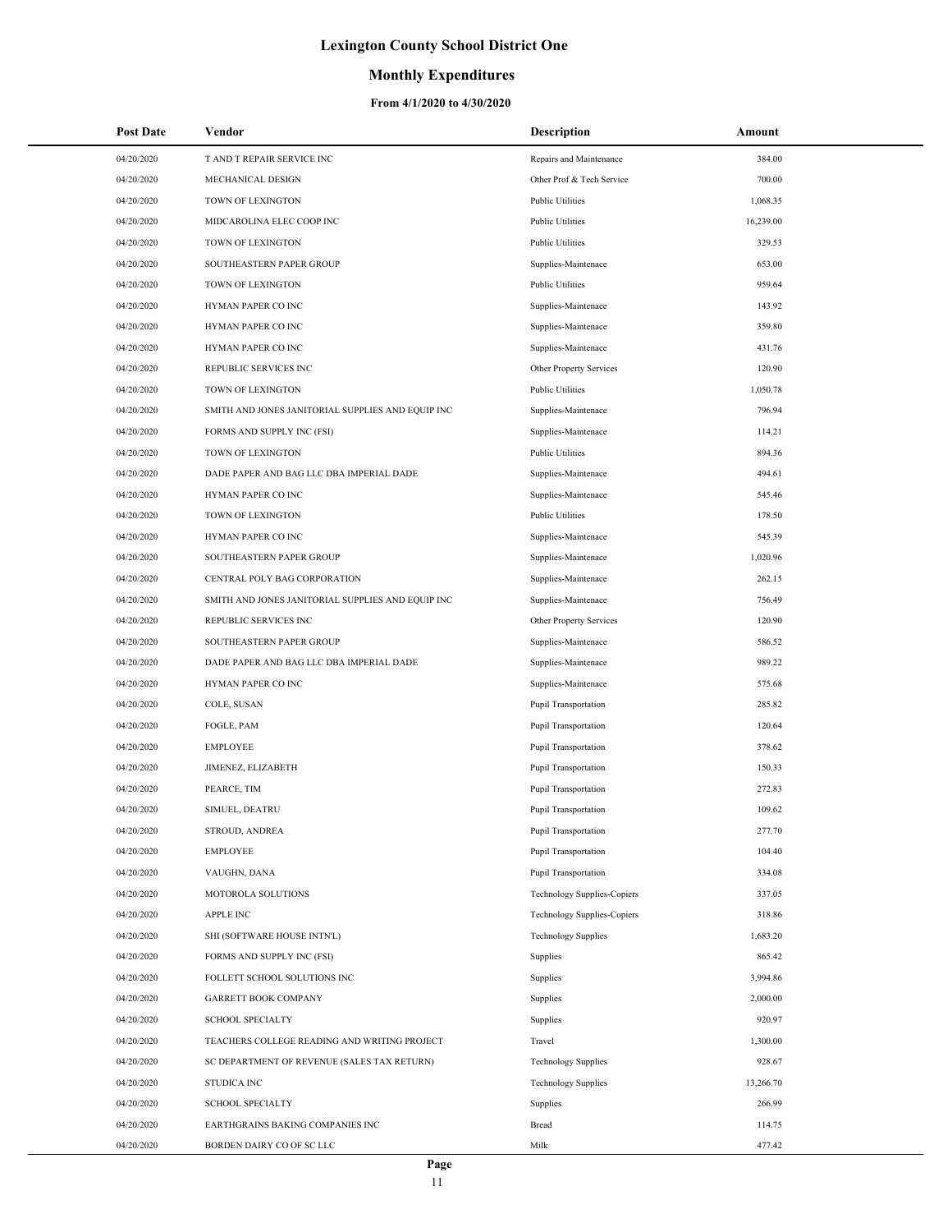### **Monthly Expenditures**

| <b>Post Date</b> | Vendor                                            | <b>Description</b>          | Amount    |
|------------------|---------------------------------------------------|-----------------------------|-----------|
| 04/20/2020       | T AND T REPAIR SERVICE INC                        | Repairs and Maintenance     | 384.00    |
| 04/20/2020       | MECHANICAL DESIGN                                 | Other Prof & Tech Service   | 700.00    |
| 04/20/2020       | TOWN OF LEXINGTON                                 | <b>Public Utilities</b>     | 1,068.35  |
| 04/20/2020       | MIDCAROLINA ELEC COOP INC                         | <b>Public Utilities</b>     | 16,239.00 |
| 04/20/2020       | TOWN OF LEXINGTON                                 | <b>Public Utilities</b>     | 329.53    |
| 04/20/2020       | SOUTHEASTERN PAPER GROUP                          | Supplies-Maintenace         | 653.00    |
| 04/20/2020       | TOWN OF LEXINGTON                                 | <b>Public Utilities</b>     | 959.64    |
| 04/20/2020       | HYMAN PAPER CO INC                                | Supplies-Maintenace         | 143.92    |
| 04/20/2020       | HYMAN PAPER CO INC                                | Supplies-Maintenace         | 359.80    |
| 04/20/2020       | HYMAN PAPER CO INC                                | Supplies-Maintenace         | 431.76    |
| 04/20/2020       | REPUBLIC SERVICES INC                             | Other Property Services     | 120.90    |
| 04/20/2020       | TOWN OF LEXINGTON                                 | <b>Public Utilities</b>     | 1,050.78  |
| 04/20/2020       | SMITH AND JONES JANITORIAL SUPPLIES AND EQUIP INC | Supplies-Maintenace         | 796.94    |
| 04/20/2020       | FORMS AND SUPPLY INC (FSI)                        | Supplies-Maintenace         | 114.21    |
| 04/20/2020       | TOWN OF LEXINGTON                                 | <b>Public Utilities</b>     | 894.36    |
| 04/20/2020       | DADE PAPER AND BAG LLC DBA IMPERIAL DADE          | Supplies-Maintenace         | 494.61    |
| 04/20/2020       | HYMAN PAPER CO INC                                | Supplies-Maintenace         | 545.46    |
| 04/20/2020       | TOWN OF LEXINGTON                                 | <b>Public Utilities</b>     | 178.50    |
| 04/20/2020       | HYMAN PAPER CO INC                                | Supplies-Maintenace         | 545.39    |
| 04/20/2020       | SOUTHEASTERN PAPER GROUP                          | Supplies-Maintenace         | 1,020.96  |
| 04/20/2020       | CENTRAL POLY BAG CORPORATION                      | Supplies-Maintenace         | 262.15    |
| 04/20/2020       | SMITH AND JONES JANITORIAL SUPPLIES AND EQUIP INC | Supplies-Maintenace         | 756.49    |
| 04/20/2020       | REPUBLIC SERVICES INC                             | Other Property Services     | 120.90    |
| 04/20/2020       | SOUTHEASTERN PAPER GROUP                          | Supplies-Maintenace         | 586.52    |
| 04/20/2020       | DADE PAPER AND BAG LLC DBA IMPERIAL DADE          | Supplies-Maintenace         | 989.22    |
| 04/20/2020       | HYMAN PAPER CO INC                                | Supplies-Maintenace         | 575.68    |
| 04/20/2020       | COLE, SUSAN                                       | Pupil Transportation        | 285.82    |
| 04/20/2020       | FOGLE, PAM                                        | Pupil Transportation        | 120.64    |
| 04/20/2020       | <b>EMPLOYEE</b>                                   | <b>Pupil Transportation</b> | 378.62    |
| 04/20/2020       | JIMENEZ, ELIZABETH                                | Pupil Transportation        | 150.33    |
| 04/20/2020       | PEARCE, TIM                                       | Pupil Transportation        | 272.83    |
| 04/20/2020       | SIMUEL, DEATRU                                    | Pupil Transportation        | 109.62    |
| 04/20/2020       | STROUD, ANDREA                                    | Pupil Transportation        | 277.70    |
| 04/20/2020       | <b>EMPLOYEE</b>                                   | Pupil Transportation        | 104.40    |
| 04/20/2020       | VAUGHN, DANA                                      | Pupil Transportation        | 334.08    |
| 04/20/2020       | MOTOROLA SOLUTIONS                                | Technology Supplies-Copiers | 337.05    |
| 04/20/2020       | APPLE INC                                         | Technology Supplies-Copiers | 318.86    |
| 04/20/2020       | SHI (SOFTWARE HOUSE INTN'L)                       | <b>Technology Supplies</b>  | 1,683.20  |
| 04/20/2020       | FORMS AND SUPPLY INC (FSI)                        | Supplies                    | 865.42    |
| 04/20/2020       | FOLLETT SCHOOL SOLUTIONS INC                      | Supplies                    | 3,994.86  |
| 04/20/2020       | <b>GARRETT BOOK COMPANY</b>                       | Supplies                    | 2,000.00  |
| 04/20/2020       | <b>SCHOOL SPECIALTY</b>                           | Supplies                    | 920.97    |
| 04/20/2020       | TEACHERS COLLEGE READING AND WRITING PROJECT      | Travel                      | 1,300.00  |
| 04/20/2020       | SC DEPARTMENT OF REVENUE (SALES TAX RETURN)       | <b>Technology Supplies</b>  | 928.67    |
| 04/20/2020       | STUDICA INC                                       | <b>Technology Supplies</b>  | 13,266.70 |
| 04/20/2020       | <b>SCHOOL SPECIALTY</b>                           | Supplies                    | 266.99    |
| 04/20/2020       | EARTHGRAINS BAKING COMPANIES INC                  | Bread                       | 114.75    |
| 04/20/2020       | BORDEN DAIRY CO OF SC LLC                         | Milk                        | 477.42    |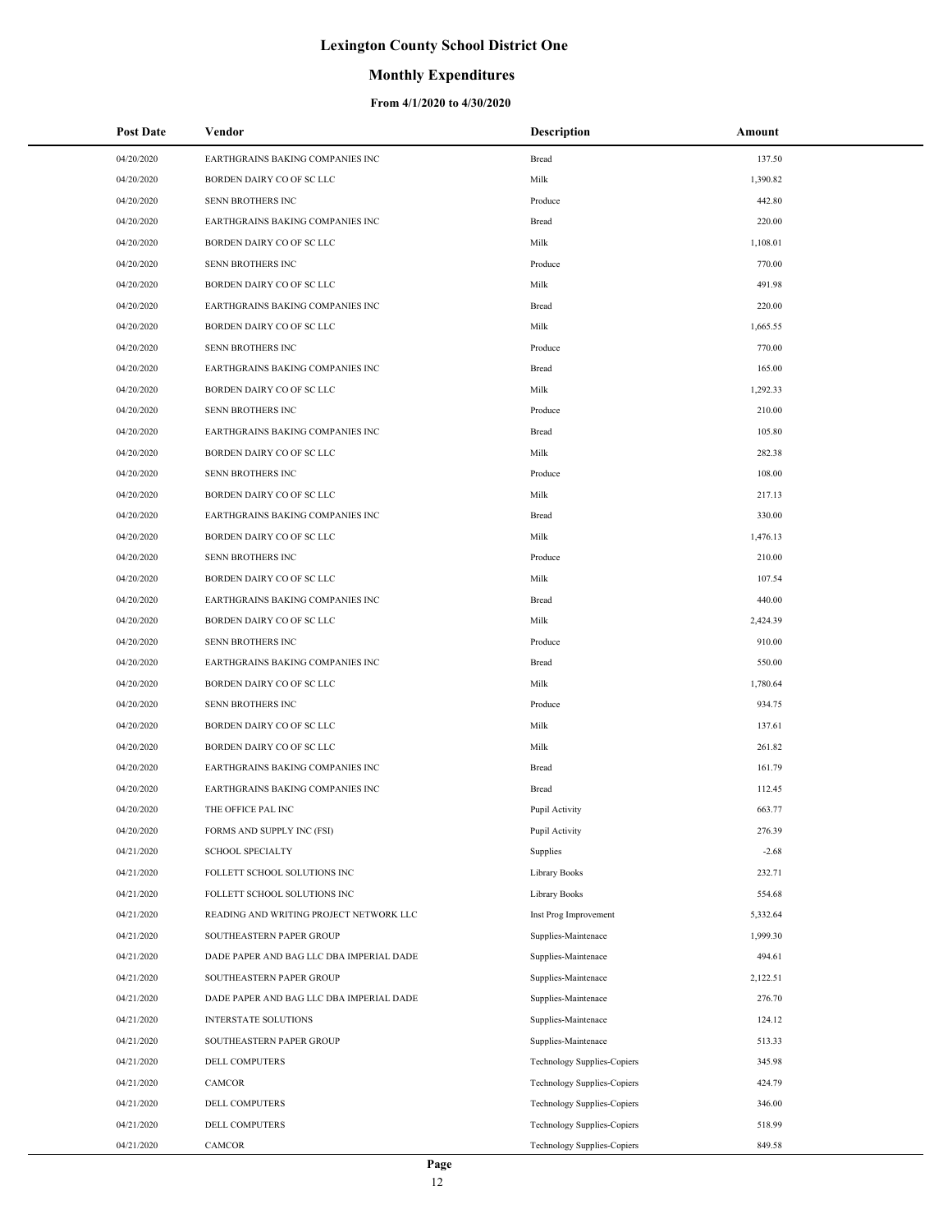## **Monthly Expenditures**

| <b>Post Date</b> | Vendor                                   | <b>Description</b>                 | Amount   |
|------------------|------------------------------------------|------------------------------------|----------|
| 04/20/2020       | EARTHGRAINS BAKING COMPANIES INC         | Bread                              | 137.50   |
| 04/20/2020       | BORDEN DAIRY CO OF SC LLC                | Milk                               | 1,390.82 |
| 04/20/2020       | SENN BROTHERS INC                        | Produce                            | 442.80   |
| 04/20/2020       | EARTHGRAINS BAKING COMPANIES INC         | Bread                              | 220.00   |
| 04/20/2020       | BORDEN DAIRY CO OF SC LLC                | Milk                               | 1,108.01 |
| 04/20/2020       | SENN BROTHERS INC                        | Produce                            | 770.00   |
| 04/20/2020       | BORDEN DAIRY CO OF SC LLC                | Milk                               | 491.98   |
| 04/20/2020       | EARTHGRAINS BAKING COMPANIES INC         | Bread                              | 220.00   |
| 04/20/2020       | BORDEN DAIRY CO OF SC LLC                | Milk                               | 1,665.55 |
| 04/20/2020       | SENN BROTHERS INC                        | Produce                            | 770.00   |
| 04/20/2020       | EARTHGRAINS BAKING COMPANIES INC         | Bread                              | 165.00   |
| 04/20/2020       | BORDEN DAIRY CO OF SC LLC                | Milk                               | 1,292.33 |
| 04/20/2020       | SENN BROTHERS INC                        | Produce                            | 210.00   |
| 04/20/2020       | EARTHGRAINS BAKING COMPANIES INC         | Bread                              | 105.80   |
| 04/20/2020       | BORDEN DAIRY CO OF SC LLC                | Milk                               | 282.38   |
| 04/20/2020       | SENN BROTHERS INC                        | Produce                            | 108.00   |
| 04/20/2020       | BORDEN DAIRY CO OF SC LLC                | Milk                               | 217.13   |
| 04/20/2020       | EARTHGRAINS BAKING COMPANIES INC         | Bread                              | 330.00   |
| 04/20/2020       | BORDEN DAIRY CO OF SC LLC                | Milk                               | 1,476.13 |
| 04/20/2020       | SENN BROTHERS INC                        | Produce                            | 210.00   |
| 04/20/2020       | BORDEN DAIRY CO OF SC LLC                | Milk                               | 107.54   |
| 04/20/2020       | EARTHGRAINS BAKING COMPANIES INC         | Bread                              | 440.00   |
| 04/20/2020       | BORDEN DAIRY CO OF SC LLC                | Milk                               | 2,424.39 |
| 04/20/2020       | SENN BROTHERS INC                        | Produce                            | 910.00   |
| 04/20/2020       | EARTHGRAINS BAKING COMPANIES INC         | Bread                              | 550.00   |
| 04/20/2020       | BORDEN DAIRY CO OF SC LLC                | Milk                               | 1,780.64 |
| 04/20/2020       | SENN BROTHERS INC                        | Produce                            | 934.75   |
| 04/20/2020       | BORDEN DAIRY CO OF SC LLC                | Milk                               | 137.61   |
| 04/20/2020       | BORDEN DAIRY CO OF SC LLC                | Milk                               | 261.82   |
| 04/20/2020       | EARTHGRAINS BAKING COMPANIES INC         | Bread                              | 161.79   |
| 04/20/2020       | EARTHGRAINS BAKING COMPANIES INC         | Bread                              | 112.45   |
| 04/20/2020       | THE OFFICE PAL INC                       | Pupil Activity                     | 663.77   |
| 04/20/2020       | FORMS AND SUPPLY INC (FSI)               | Pupil Activity                     | 276.39   |
| 04/21/2020       | <b>SCHOOL SPECIALTY</b>                  | Supplies                           | $-2.68$  |
| 04/21/2020       | FOLLETT SCHOOL SOLUTIONS INC             | Library Books                      | 232.71   |
| 04/21/2020       | FOLLETT SCHOOL SOLUTIONS INC             | Library Books                      | 554.68   |
| 04/21/2020       | READING AND WRITING PROJECT NETWORK LLC  | Inst Prog Improvement              | 5,332.64 |
| 04/21/2020       | SOUTHEASTERN PAPER GROUP                 | Supplies-Maintenace                | 1,999.30 |
| 04/21/2020       | DADE PAPER AND BAG LLC DBA IMPERIAL DADE | Supplies-Maintenace                | 494.61   |
| 04/21/2020       | SOUTHEASTERN PAPER GROUP                 | Supplies-Maintenace                | 2,122.51 |
| 04/21/2020       | DADE PAPER AND BAG LLC DBA IMPERIAL DADE | Supplies-Maintenace                | 276.70   |
| 04/21/2020       | <b>INTERSTATE SOLUTIONS</b>              | Supplies-Maintenace                | 124.12   |
| 04/21/2020       | SOUTHEASTERN PAPER GROUP                 | Supplies-Maintenace                | 513.33   |
| 04/21/2020       | DELL COMPUTERS                           | <b>Technology Supplies-Copiers</b> | 345.98   |
| 04/21/2020       | CAMCOR                                   | Technology Supplies-Copiers        | 424.79   |
| 04/21/2020       | DELL COMPUTERS                           | Technology Supplies-Copiers        | 346.00   |
| 04/21/2020       | DELL COMPUTERS                           | <b>Technology Supplies-Copiers</b> | 518.99   |
| 04/21/2020       | CAMCOR                                   | <b>Technology Supplies-Copiers</b> | 849.58   |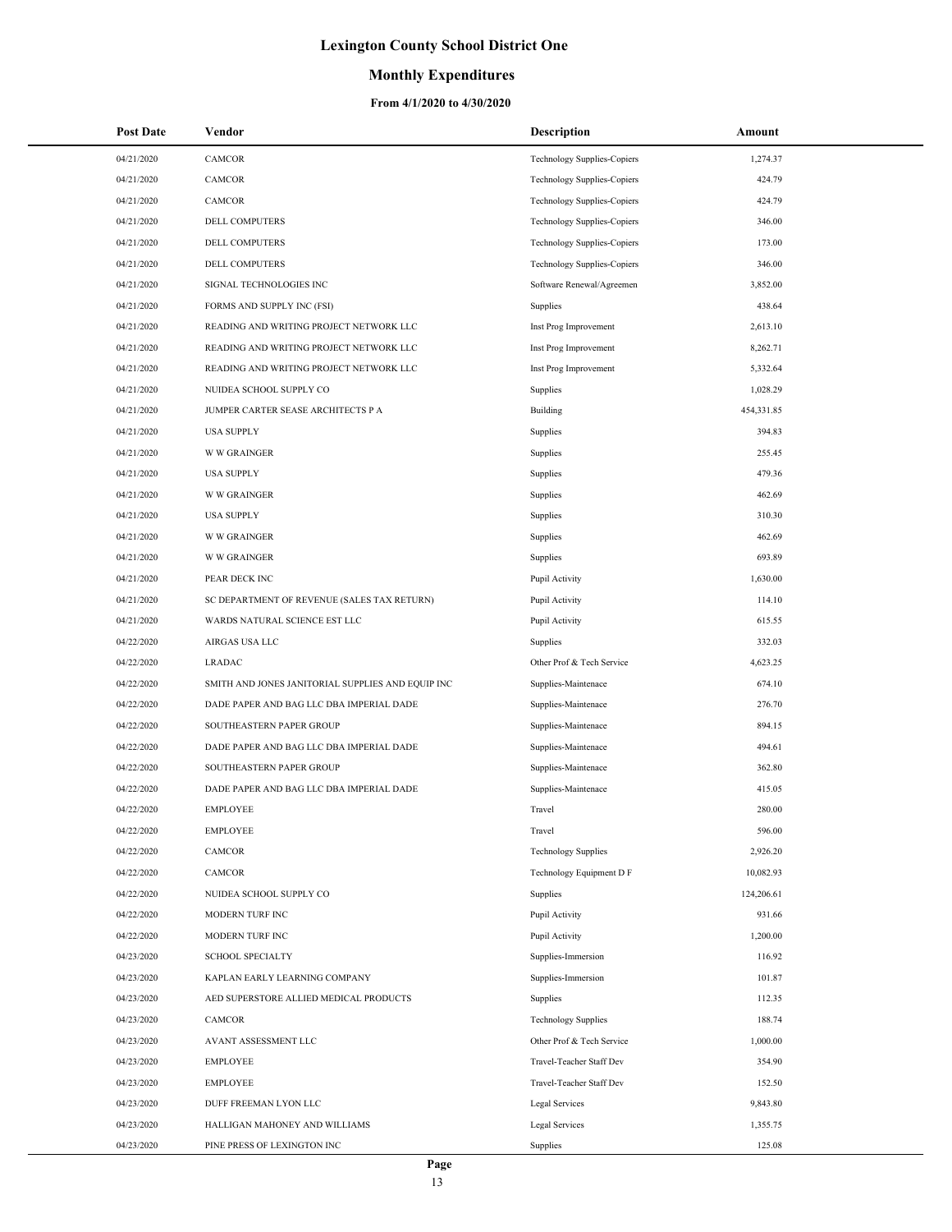### **Monthly Expenditures**

| <b>Post Date</b> | Vendor                                            | <b>Description</b>                 | Amount     |
|------------------|---------------------------------------------------|------------------------------------|------------|
| 04/21/2020       | CAMCOR                                            | <b>Technology Supplies-Copiers</b> | 1,274.37   |
| 04/21/2020       | CAMCOR                                            | Technology Supplies-Copiers        | 424.79     |
| 04/21/2020       | CAMCOR                                            | Technology Supplies-Copiers        | 424.79     |
| 04/21/2020       | DELL COMPUTERS                                    | Technology Supplies-Copiers        | 346.00     |
| 04/21/2020       | DELL COMPUTERS                                    | Technology Supplies-Copiers        | 173.00     |
| 04/21/2020       | DELL COMPUTERS                                    | Technology Supplies-Copiers        | 346.00     |
| 04/21/2020       | SIGNAL TECHNOLOGIES INC                           | Software Renewal/Agreemen          | 3,852.00   |
| 04/21/2020       | FORMS AND SUPPLY INC (FSI)                        | Supplies                           | 438.64     |
| 04/21/2020       | READING AND WRITING PROJECT NETWORK LLC           | Inst Prog Improvement              | 2,613.10   |
| 04/21/2020       | READING AND WRITING PROJECT NETWORK LLC           | Inst Prog Improvement              | 8,262.71   |
| 04/21/2020       | READING AND WRITING PROJECT NETWORK LLC           | Inst Prog Improvement              | 5,332.64   |
| 04/21/2020       | NUIDEA SCHOOL SUPPLY CO                           | Supplies                           | 1,028.29   |
| 04/21/2020       | JUMPER CARTER SEASE ARCHITECTS P A                | Building                           | 454,331.85 |
| 04/21/2020       | <b>USA SUPPLY</b>                                 | Supplies                           | 394.83     |
| 04/21/2020       | <b>W W GRAINGER</b>                               | Supplies                           | 255.45     |
| 04/21/2020       | <b>USA SUPPLY</b>                                 | Supplies                           | 479.36     |
| 04/21/2020       | <b>W W GRAINGER</b>                               | Supplies                           | 462.69     |
| 04/21/2020       | <b>USA SUPPLY</b>                                 | Supplies                           | 310.30     |
| 04/21/2020       | <b>W W GRAINGER</b>                               | Supplies                           | 462.69     |
| 04/21/2020       | <b>W W GRAINGER</b>                               | Supplies                           | 693.89     |
| 04/21/2020       | PEAR DECK INC                                     | Pupil Activity                     | 1,630.00   |
| 04/21/2020       | SC DEPARTMENT OF REVENUE (SALES TAX RETURN)       | Pupil Activity                     | 114.10     |
| 04/21/2020       | WARDS NATURAL SCIENCE EST LLC                     | Pupil Activity                     | 615.55     |
| 04/22/2020       | AIRGAS USA LLC                                    | Supplies                           | 332.03     |
| 04/22/2020       | <b>LRADAC</b>                                     | Other Prof & Tech Service          | 4,623.25   |
| 04/22/2020       | SMITH AND JONES JANITORIAL SUPPLIES AND EQUIP INC | Supplies-Maintenace                | 674.10     |
| 04/22/2020       | DADE PAPER AND BAG LLC DBA IMPERIAL DADE          | Supplies-Maintenace                | 276.70     |
| 04/22/2020       | SOUTHEASTERN PAPER GROUP                          | Supplies-Maintenace                | 894.15     |
| 04/22/2020       | DADE PAPER AND BAG LLC DBA IMPERIAL DADE          | Supplies-Maintenace                | 494.61     |
| 04/22/2020       | SOUTHEASTERN PAPER GROUP                          | Supplies-Maintenace                | 362.80     |
| 04/22/2020       | DADE PAPER AND BAG LLC DBA IMPERIAL DADE          | Supplies-Maintenace                | 415.05     |
| 04/22/2020       | <b>EMPLOYEE</b>                                   | Travel                             | 280.00     |
| 04/22/2020       | <b>EMPLOYEE</b>                                   | Travel                             | 596.00     |
| 04/22/2020       | CAMCOR                                            | <b>Technology Supplies</b>         | 2,926.20   |
| 04/22/2020       | CAMCOR                                            | Technology Equipment D F           | 10,082.93  |
| 04/22/2020       | NUIDEA SCHOOL SUPPLY CO                           | Supplies                           | 124,206.61 |
| 04/22/2020       | MODERN TURF INC                                   | Pupil Activity                     | 931.66     |
| 04/22/2020       | MODERN TURF INC                                   | Pupil Activity                     | 1,200.00   |
| 04/23/2020       | <b>SCHOOL SPECIALTY</b>                           | Supplies-Immersion                 | 116.92     |
| 04/23/2020       | KAPLAN EARLY LEARNING COMPANY                     | Supplies-Immersion                 | 101.87     |
| 04/23/2020       | AED SUPERSTORE ALLIED MEDICAL PRODUCTS            | Supplies                           | 112.35     |
| 04/23/2020       | CAMCOR                                            | <b>Technology Supplies</b>         | 188.74     |
| 04/23/2020       | AVANT ASSESSMENT LLC                              | Other Prof & Tech Service          | 1,000.00   |
| 04/23/2020       | <b>EMPLOYEE</b>                                   | Travel-Teacher Staff Dev           | 354.90     |
| 04/23/2020       | <b>EMPLOYEE</b>                                   | Travel-Teacher Staff Dev           | 152.50     |
| 04/23/2020       | DUFF FREEMAN LYON LLC                             | Legal Services                     | 9,843.80   |
| 04/23/2020       | HALLIGAN MAHONEY AND WILLIAMS                     | Legal Services                     | 1,355.75   |
| 04/23/2020       | PINE PRESS OF LEXINGTON INC                       | Supplies                           | 125.08     |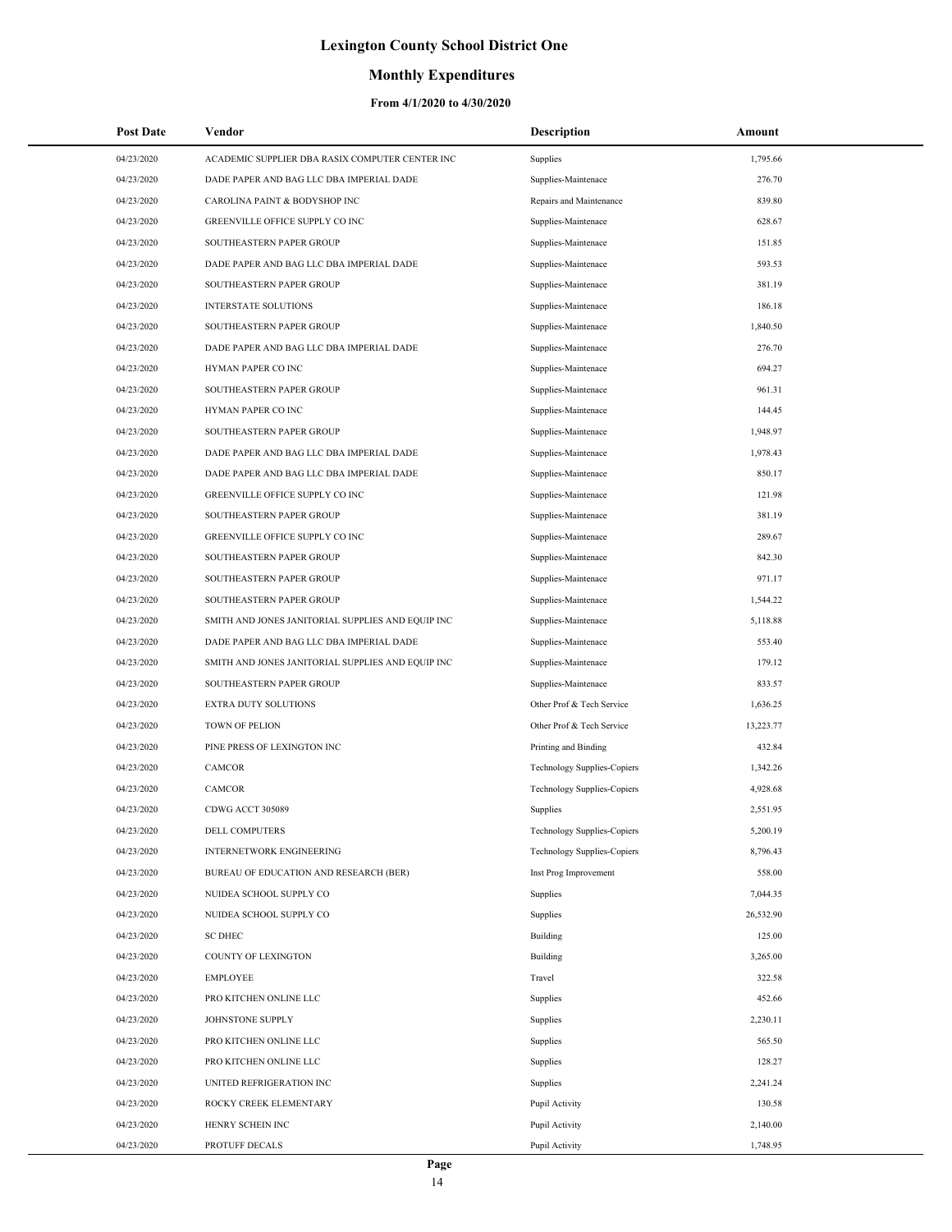### **Monthly Expenditures**

| <b>Post Date</b> | Vendor                                            | <b>Description</b>                 | Amount    |
|------------------|---------------------------------------------------|------------------------------------|-----------|
| 04/23/2020       | ACADEMIC SUPPLIER DBA RASIX COMPUTER CENTER INC   | Supplies                           | 1,795.66  |
| 04/23/2020       | DADE PAPER AND BAG LLC DBA IMPERIAL DADE          | Supplies-Maintenace                | 276.70    |
| 04/23/2020       | CAROLINA PAINT & BODYSHOP INC                     | Repairs and Maintenance            | 839.80    |
| 04/23/2020       | GREENVILLE OFFICE SUPPLY CO INC                   | Supplies-Maintenace                | 628.67    |
| 04/23/2020       | SOUTHEASTERN PAPER GROUP                          | Supplies-Maintenace                | 151.85    |
| 04/23/2020       | DADE PAPER AND BAG LLC DBA IMPERIAL DADE          | Supplies-Maintenace                | 593.53    |
| 04/23/2020       | SOUTHEASTERN PAPER GROUP                          | Supplies-Maintenace                | 381.19    |
| 04/23/2020       | <b>INTERSTATE SOLUTIONS</b>                       | Supplies-Maintenace                | 186.18    |
| 04/23/2020       | SOUTHEASTERN PAPER GROUP                          | Supplies-Maintenace                | 1,840.50  |
| 04/23/2020       | DADE PAPER AND BAG LLC DBA IMPERIAL DADE          | Supplies-Maintenace                | 276.70    |
| 04/23/2020       | HYMAN PAPER CO INC                                | Supplies-Maintenace                | 694.27    |
| 04/23/2020       | SOUTHEASTERN PAPER GROUP                          | Supplies-Maintenace                | 961.31    |
| 04/23/2020       | HYMAN PAPER CO INC                                | Supplies-Maintenace                | 144.45    |
| 04/23/2020       | SOUTHEASTERN PAPER GROUP                          | Supplies-Maintenace                | 1,948.97  |
| 04/23/2020       | DADE PAPER AND BAG LLC DBA IMPERIAL DADE          | Supplies-Maintenace                | 1,978.43  |
| 04/23/2020       | DADE PAPER AND BAG LLC DBA IMPERIAL DADE          | Supplies-Maintenace                | 850.17    |
| 04/23/2020       | GREENVILLE OFFICE SUPPLY CO INC                   | Supplies-Maintenace                | 121.98    |
| 04/23/2020       | SOUTHEASTERN PAPER GROUP                          | Supplies-Maintenace                | 381.19    |
| 04/23/2020       | GREENVILLE OFFICE SUPPLY CO INC                   | Supplies-Maintenace                | 289.67    |
| 04/23/2020       | SOUTHEASTERN PAPER GROUP                          | Supplies-Maintenace                | 842.30    |
| 04/23/2020       | SOUTHEASTERN PAPER GROUP                          | Supplies-Maintenace                | 971.17    |
| 04/23/2020       | SOUTHEASTERN PAPER GROUP                          | Supplies-Maintenace                | 1,544.22  |
| 04/23/2020       | SMITH AND JONES JANITORIAL SUPPLIES AND EQUIP INC | Supplies-Maintenace                | 5,118.88  |
| 04/23/2020       | DADE PAPER AND BAG LLC DBA IMPERIAL DADE          | Supplies-Maintenace                | 553.40    |
| 04/23/2020       | SMITH AND JONES JANITORIAL SUPPLIES AND EQUIP INC | Supplies-Maintenace                | 179.12    |
| 04/23/2020       | SOUTHEASTERN PAPER GROUP                          | Supplies-Maintenace                | 833.57    |
| 04/23/2020       | <b>EXTRA DUTY SOLUTIONS</b>                       | Other Prof & Tech Service          | 1,636.25  |
| 04/23/2020       | TOWN OF PELION                                    | Other Prof & Tech Service          | 13,223.77 |
| 04/23/2020       | PINE PRESS OF LEXINGTON INC                       | Printing and Binding               | 432.84    |
| 04/23/2020       | CAMCOR                                            | Technology Supplies-Copiers        | 1,342.26  |
| 04/23/2020       | <b>CAMCOR</b>                                     | <b>Technology Supplies-Copiers</b> | 4,928.68  |
| 04/23/2020       | CDWG ACCT 305089                                  | Supplies                           | 2,551.95  |
| 04/23/2020       | <b>DELL COMPUTERS</b>                             | Technology Supplies-Copiers        | 5,200.19  |
| 04/23/2020       | INTERNETWORK ENGINEERING                          | <b>Technology Supplies-Copiers</b> | 8,796.43  |
| 04/23/2020       | BUREAU OF EDUCATION AND RESEARCH (BER)            | Inst Prog Improvement              | 558.00    |
| 04/23/2020       | NUIDEA SCHOOL SUPPLY CO                           | Supplies                           | 7,044.35  |
| 04/23/2020       | NUIDEA SCHOOL SUPPLY CO                           | Supplies                           | 26,532.90 |
| 04/23/2020       | <b>SC DHEC</b>                                    | Building                           | 125.00    |
| 04/23/2020       | COUNTY OF LEXINGTON                               | Building                           | 3,265.00  |
|                  | <b>EMPLOYEE</b>                                   | Travel                             |           |
| 04/23/2020       |                                                   |                                    | 322.58    |
| 04/23/2020       | PRO KITCHEN ONLINE LLC                            | Supplies                           | 452.66    |
| 04/23/2020       | JOHNSTONE SUPPLY                                  | Supplies                           | 2,230.11  |
| 04/23/2020       | PRO KITCHEN ONLINE LLC                            | Supplies                           | 565.50    |
| 04/23/2020       | PRO KITCHEN ONLINE LLC                            | Supplies                           | 128.27    |
| 04/23/2020       | UNITED REFRIGERATION INC                          | Supplies                           | 2,241.24  |
| 04/23/2020       | ROCKY CREEK ELEMENTARY                            | Pupil Activity                     | 130.58    |
| 04/23/2020       | HENRY SCHEIN INC                                  | Pupil Activity                     | 2,140.00  |
| 04/23/2020       | PROTUFF DECALS                                    | Pupil Activity                     | 1,748.95  |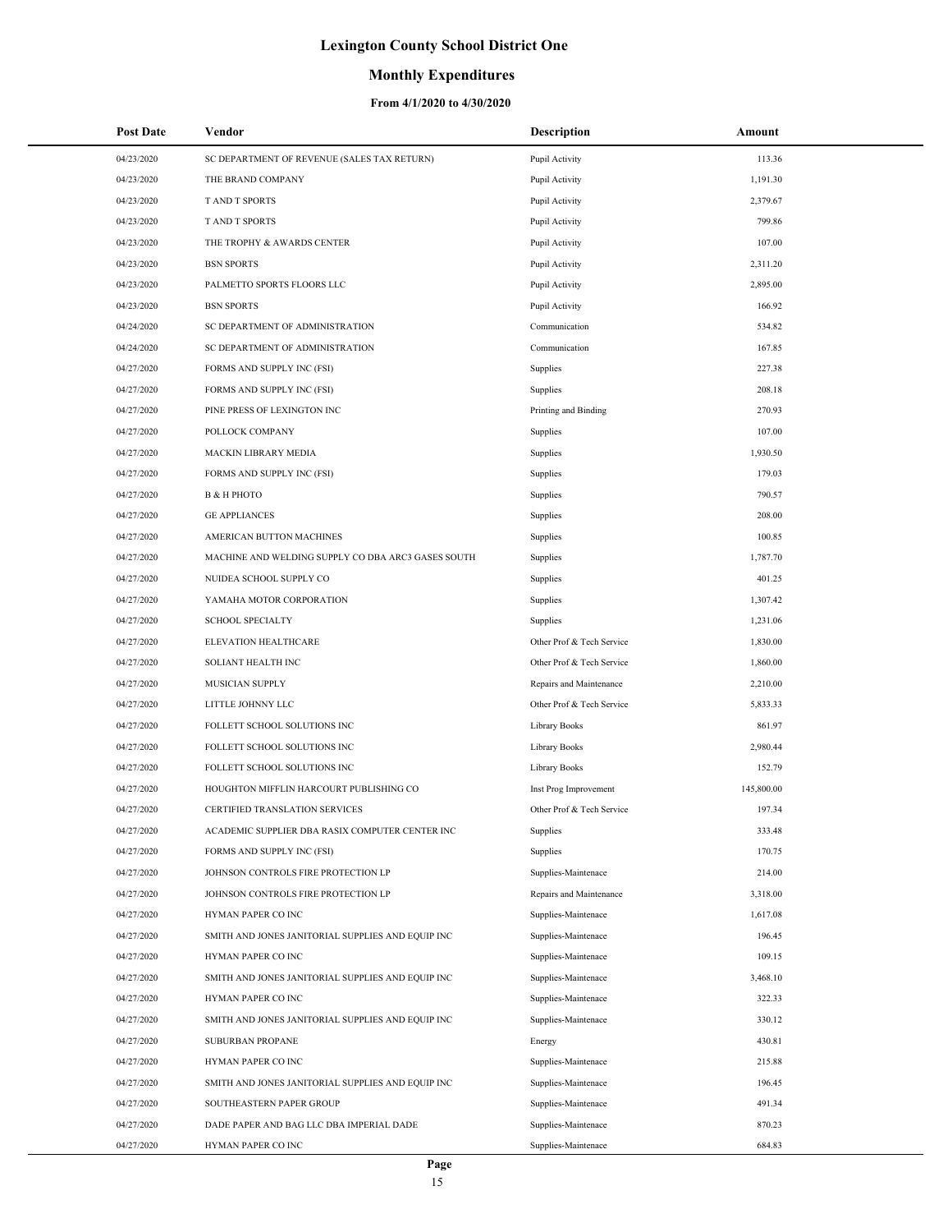### **Monthly Expenditures**

| <b>Post Date</b> | Vendor                                             | <b>Description</b>        | Amount     |
|------------------|----------------------------------------------------|---------------------------|------------|
| 04/23/2020       | SC DEPARTMENT OF REVENUE (SALES TAX RETURN)        | Pupil Activity            | 113.36     |
| 04/23/2020       | THE BRAND COMPANY                                  | Pupil Activity            | 1,191.30   |
| 04/23/2020       | T AND T SPORTS                                     | Pupil Activity            | 2,379.67   |
| 04/23/2020       | <b>T AND T SPORTS</b>                              | Pupil Activity            | 799.86     |
| 04/23/2020       | THE TROPHY & AWARDS CENTER                         | Pupil Activity            | 107.00     |
| 04/23/2020       | <b>BSN SPORTS</b>                                  | Pupil Activity            | 2,311.20   |
| 04/23/2020       | PALMETTO SPORTS FLOORS LLC                         | Pupil Activity            | 2,895.00   |
| 04/23/2020       | <b>BSN SPORTS</b>                                  | Pupil Activity            | 166.92     |
| 04/24/2020       | SC DEPARTMENT OF ADMINISTRATION                    | Communication             | 534.82     |
| 04/24/2020       | SC DEPARTMENT OF ADMINISTRATION                    | Communication             | 167.85     |
| 04/27/2020       | FORMS AND SUPPLY INC (FSI)                         | Supplies                  | 227.38     |
| 04/27/2020       | FORMS AND SUPPLY INC (FSI)                         | Supplies                  | 208.18     |
| 04/27/2020       | PINE PRESS OF LEXINGTON INC                        | Printing and Binding      | 270.93     |
| 04/27/2020       | POLLOCK COMPANY                                    | Supplies                  | 107.00     |
| 04/27/2020       | MACKIN LIBRARY MEDIA                               | Supplies                  | 1,930.50   |
| 04/27/2020       | FORMS AND SUPPLY INC (FSI)                         | Supplies                  | 179.03     |
| 04/27/2020       | В & Н РНОТО                                        | Supplies                  | 790.57     |
| 04/27/2020       | <b>GE APPLIANCES</b>                               | Supplies                  | 208.00     |
| 04/27/2020       | AMERICAN BUTTON MACHINES                           | Supplies                  | 100.85     |
| 04/27/2020       | MACHINE AND WELDING SUPPLY CO DBA ARC3 GASES SOUTH | Supplies                  | 1,787.70   |
| 04/27/2020       | NUIDEA SCHOOL SUPPLY CO                            | Supplies                  | 401.25     |
| 04/27/2020       | YAMAHA MOTOR CORPORATION                           | Supplies                  | 1,307.42   |
| 04/27/2020       | <b>SCHOOL SPECIALTY</b>                            | Supplies                  | 1,231.06   |
| 04/27/2020       | ELEVATION HEALTHCARE                               | Other Prof & Tech Service | 1,830.00   |
| 04/27/2020       | SOLIANT HEALTH INC                                 | Other Prof & Tech Service | 1,860.00   |
| 04/27/2020       | MUSICIAN SUPPLY                                    | Repairs and Maintenance   | 2,210.00   |
| 04/27/2020       | LITTLE JOHNNY LLC                                  | Other Prof & Tech Service | 5,833.33   |
| 04/27/2020       | FOLLETT SCHOOL SOLUTIONS INC                       | Library Books             | 861.97     |
| 04/27/2020       | FOLLETT SCHOOL SOLUTIONS INC                       | Library Books             | 2,980.44   |
| 04/27/2020       | FOLLETT SCHOOL SOLUTIONS INC                       | Library Books             | 152.79     |
| 04/27/2020       | HOUGHTON MIFFLIN HARCOURT PUBLISHING CO            | Inst Prog Improvement     | 145,800.00 |
| 04/27/2020       | CERTIFIED TRANSLATION SERVICES                     | Other Prof & Tech Service | 197.34     |
| 04/27/2020       | ACADEMIC SUPPLIER DBA RASIX COMPUTER CENTER INC    | Supplies                  | 333.48     |
| 04/27/2020       | FORMS AND SUPPLY INC (FSI)                         | Supplies                  | 170.75     |
| 04/27/2020       | JOHNSON CONTROLS FIRE PROTECTION LP                | Supplies-Maintenace       | 214.00     |
| 04/27/2020       | JOHNSON CONTROLS FIRE PROTECTION LP                | Repairs and Maintenance   | 3,318.00   |
| 04/27/2020       | HYMAN PAPER CO INC                                 | Supplies-Maintenace       | 1,617.08   |
| 04/27/2020       | SMITH AND JONES JANITORIAL SUPPLIES AND EQUIP INC  | Supplies-Maintenace       | 196.45     |
| 04/27/2020       | HYMAN PAPER CO INC                                 | Supplies-Maintenace       | 109.15     |
| 04/27/2020       | SMITH AND JONES JANITORIAL SUPPLIES AND EQUIP INC  | Supplies-Maintenace       | 3,468.10   |
| 04/27/2020       | HYMAN PAPER CO INC                                 | Supplies-Maintenace       | 322.33     |
| 04/27/2020       | SMITH AND JONES JANITORIAL SUPPLIES AND EQUIP INC  | Supplies-Maintenace       | 330.12     |
| 04/27/2020       | SUBURBAN PROPANE                                   | Energy                    | 430.81     |
| 04/27/2020       | HYMAN PAPER CO INC                                 | Supplies-Maintenace       | 215.88     |
| 04/27/2020       | SMITH AND JONES JANITORIAL SUPPLIES AND EQUIP INC  | Supplies-Maintenace       | 196.45     |
| 04/27/2020       | SOUTHEASTERN PAPER GROUP                           | Supplies-Maintenace       | 491.34     |
| 04/27/2020       | DADE PAPER AND BAG LLC DBA IMPERIAL DADE           | Supplies-Maintenace       | 870.23     |
| 04/27/2020       | HYMAN PAPER CO INC                                 | Supplies-Maintenace       | 684.83     |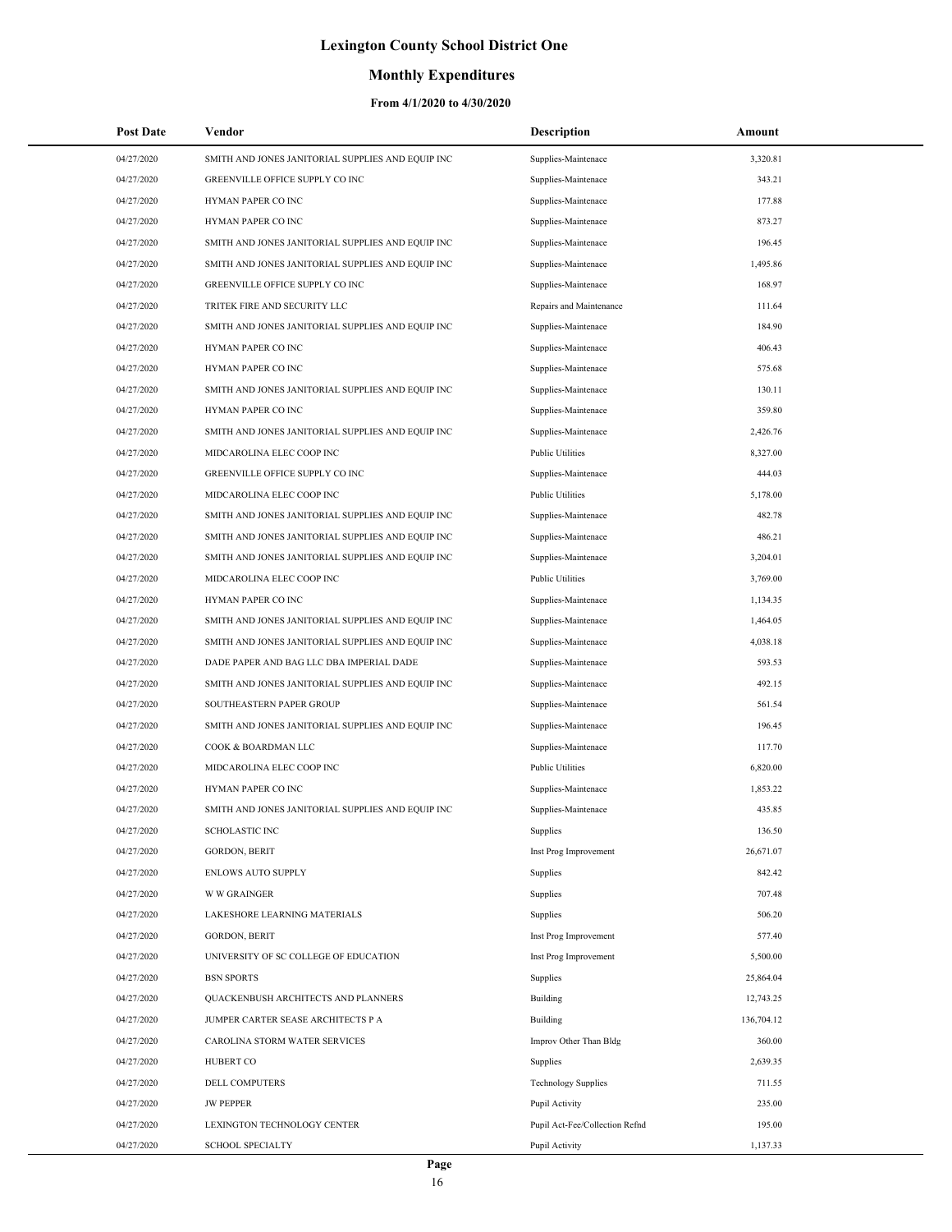### **Monthly Expenditures**

| 04/27/2020<br>SMITH AND JONES JANITORIAL SUPPLIES AND EQUIP INC<br>Supplies-Maintenace<br>3,320.81<br>343.21<br>04/27/2020<br>GREENVILLE OFFICE SUPPLY CO INC<br>Supplies-Maintenace<br>04/27/2020<br>HYMAN PAPER CO INC<br>177.88<br>Supplies-Maintenace<br>04/27/2020<br>HYMAN PAPER CO INC<br>873.27<br>Supplies-Maintenace<br>04/27/2020<br>SMITH AND JONES JANITORIAL SUPPLIES AND EQUIP INC<br>Supplies-Maintenace<br>196.45<br>1,495.86<br>04/27/2020<br>SMITH AND JONES JANITORIAL SUPPLIES AND EQUIP INC<br>Supplies-Maintenace<br>168.97<br>04/27/2020<br>GREENVILLE OFFICE SUPPLY CO INC<br>Supplies-Maintenace<br>TRITEK FIRE AND SECURITY LLC<br>Repairs and Maintenance<br>111.64<br>04/27/2020<br>184.90<br>04/27/2020<br>SMITH AND JONES JANITORIAL SUPPLIES AND EQUIP INC<br>Supplies-Maintenace<br>04/27/2020<br>HYMAN PAPER CO INC<br>406.43<br>Supplies-Maintenace<br>575.68<br>04/27/2020<br>HYMAN PAPER CO INC<br>Supplies-Maintenace<br>04/27/2020<br>SMITH AND JONES JANITORIAL SUPPLIES AND EQUIP INC<br>130.11<br>Supplies-Maintenace<br>359.80<br>04/27/2020<br>HYMAN PAPER CO INC<br>Supplies-Maintenace<br>04/27/2020<br>SMITH AND JONES JANITORIAL SUPPLIES AND EQUIP INC<br>Supplies-Maintenace<br>2,426.76<br>04/27/2020<br>MIDCAROLINA ELEC COOP INC<br><b>Public Utilities</b><br>8,327.00<br>GREENVILLE OFFICE SUPPLY CO INC<br>Supplies-Maintenace<br>444.03<br>04/27/2020<br>04/27/2020<br>MIDCAROLINA ELEC COOP INC<br><b>Public Utilities</b><br>5,178.00<br>482.78<br>04/27/2020<br>SMITH AND JONES JANITORIAL SUPPLIES AND EQUIP INC<br>Supplies-Maintenace<br>04/27/2020<br>SMITH AND JONES JANITORIAL SUPPLIES AND EQUIP INC<br>486.21<br>Supplies-Maintenace<br>04/27/2020<br>SMITH AND JONES JANITORIAL SUPPLIES AND EQUIP INC<br>Supplies-Maintenace<br>3,204.01<br>04/27/2020<br><b>Public Utilities</b><br>3,769.00<br>MIDCAROLINA ELEC COOP INC<br>04/27/2020<br>HYMAN PAPER CO INC<br>Supplies-Maintenace<br>1,134.35<br>04/27/2020<br>SMITH AND JONES JANITORIAL SUPPLIES AND EQUIP INC<br>1,464.05<br>Supplies-Maintenace<br>SMITH AND JONES JANITORIAL SUPPLIES AND EQUIP INC<br>4,038.18<br>04/27/2020<br>Supplies-Maintenace<br>593.53<br>04/27/2020<br>DADE PAPER AND BAG LLC DBA IMPERIAL DADE<br>Supplies-Maintenace<br>492.15<br>04/27/2020<br>SMITH AND JONES JANITORIAL SUPPLIES AND EQUIP INC<br>Supplies-Maintenace<br>04/27/2020<br>SOUTHEASTERN PAPER GROUP<br>561.54<br>Supplies-Maintenace<br>04/27/2020<br>SMITH AND JONES JANITORIAL SUPPLIES AND EQUIP INC<br>196.45<br>Supplies-Maintenace<br>04/27/2020<br>COOK & BOARDMAN LLC<br>Supplies-Maintenace<br>117.70<br>04/27/2020<br>MIDCAROLINA ELEC COOP INC<br><b>Public Utilities</b><br>6,820.00<br>HYMAN PAPER CO INC<br>1,853.22<br>04/27/2020<br>Supplies-Maintenace<br>04/27/2020<br>SMITH AND JONES JANITORIAL SUPPLIES AND EQUIP INC<br>Supplies-Maintenace<br>435.85<br>04/27/2020<br>136.50<br><b>SCHOLASTIC INC</b><br>Supplies<br>04/27/2020<br><b>GORDON, BERIT</b><br>Inst Prog Improvement<br>26,671.07<br>04/27/2020<br><b>ENLOWS AUTO SUPPLY</b><br>842.42<br>Supplies<br>04/27/2020<br><b>W W GRAINGER</b><br>707.48<br>Supplies<br>04/27/2020<br>LAKESHORE LEARNING MATERIALS<br>Supplies<br>506.20<br>04/27/2020<br><b>GORDON, BERIT</b><br>Inst Prog Improvement<br>577.40<br>04/27/2020<br>UNIVERSITY OF SC COLLEGE OF EDUCATION<br>5,500.00<br>Inst Prog Improvement<br>04/27/2020<br><b>BSN SPORTS</b><br>Supplies<br>25,864.04<br>04/27/2020<br>QUACKENBUSH ARCHITECTS AND PLANNERS<br><b>Building</b><br>12,743.25<br>04/27/2020<br><b>Building</b><br>136,704.12<br>JUMPER CARTER SEASE ARCHITECTS P A<br>04/27/2020<br>CAROLINA STORM WATER SERVICES<br>Improv Other Than Bldg<br>360.00<br>04/27/2020<br>HUBERT CO<br>2,639.35<br>Supplies<br>04/27/2020<br><b>DELL COMPUTERS</b><br><b>Technology Supplies</b><br>711.55<br>04/27/2020<br><b>JW PEPPER</b><br>235.00<br>Pupil Activity<br>04/27/2020<br>LEXINGTON TECHNOLOGY CENTER<br>195.00<br>Pupil Act-Fee/Collection Refnd<br>04/27/2020<br><b>SCHOOL SPECIALTY</b><br>1,137.33<br>Pupil Activity | <b>Post Date</b> | Vendor | <b>Description</b> | Amount |
|-------------------------------------------------------------------------------------------------------------------------------------------------------------------------------------------------------------------------------------------------------------------------------------------------------------------------------------------------------------------------------------------------------------------------------------------------------------------------------------------------------------------------------------------------------------------------------------------------------------------------------------------------------------------------------------------------------------------------------------------------------------------------------------------------------------------------------------------------------------------------------------------------------------------------------------------------------------------------------------------------------------------------------------------------------------------------------------------------------------------------------------------------------------------------------------------------------------------------------------------------------------------------------------------------------------------------------------------------------------------------------------------------------------------------------------------------------------------------------------------------------------------------------------------------------------------------------------------------------------------------------------------------------------------------------------------------------------------------------------------------------------------------------------------------------------------------------------------------------------------------------------------------------------------------------------------------------------------------------------------------------------------------------------------------------------------------------------------------------------------------------------------------------------------------------------------------------------------------------------------------------------------------------------------------------------------------------------------------------------------------------------------------------------------------------------------------------------------------------------------------------------------------------------------------------------------------------------------------------------------------------------------------------------------------------------------------------------------------------------------------------------------------------------------------------------------------------------------------------------------------------------------------------------------------------------------------------------------------------------------------------------------------------------------------------------------------------------------------------------------------------------------------------------------------------------------------------------------------------------------------------------------------------------------------------------------------------------------------------------------------------------------------------------------------------------------------------------------------------------------------------------------------------------------------------------------------------------------------------------------------------------------------------------------------------------------------------------------------------------------------------------------------------------------------------------------------------------------------------------------------------------------------------------------------------------------------------------------------------------------------------------------------------------------------------------------------------------------------------------|------------------|--------|--------------------|--------|
|                                                                                                                                                                                                                                                                                                                                                                                                                                                                                                                                                                                                                                                                                                                                                                                                                                                                                                                                                                                                                                                                                                                                                                                                                                                                                                                                                                                                                                                                                                                                                                                                                                                                                                                                                                                                                                                                                                                                                                                                                                                                                                                                                                                                                                                                                                                                                                                                                                                                                                                                                                                                                                                                                                                                                                                                                                                                                                                                                                                                                                                                                                                                                                                                                                                                                                                                                                                                                                                                                                                                                                                                                                                                                                                                                                                                                                                                                                                                                                                                                                                                                                             |                  |        |                    |        |
|                                                                                                                                                                                                                                                                                                                                                                                                                                                                                                                                                                                                                                                                                                                                                                                                                                                                                                                                                                                                                                                                                                                                                                                                                                                                                                                                                                                                                                                                                                                                                                                                                                                                                                                                                                                                                                                                                                                                                                                                                                                                                                                                                                                                                                                                                                                                                                                                                                                                                                                                                                                                                                                                                                                                                                                                                                                                                                                                                                                                                                                                                                                                                                                                                                                                                                                                                                                                                                                                                                                                                                                                                                                                                                                                                                                                                                                                                                                                                                                                                                                                                                             |                  |        |                    |        |
|                                                                                                                                                                                                                                                                                                                                                                                                                                                                                                                                                                                                                                                                                                                                                                                                                                                                                                                                                                                                                                                                                                                                                                                                                                                                                                                                                                                                                                                                                                                                                                                                                                                                                                                                                                                                                                                                                                                                                                                                                                                                                                                                                                                                                                                                                                                                                                                                                                                                                                                                                                                                                                                                                                                                                                                                                                                                                                                                                                                                                                                                                                                                                                                                                                                                                                                                                                                                                                                                                                                                                                                                                                                                                                                                                                                                                                                                                                                                                                                                                                                                                                             |                  |        |                    |        |
|                                                                                                                                                                                                                                                                                                                                                                                                                                                                                                                                                                                                                                                                                                                                                                                                                                                                                                                                                                                                                                                                                                                                                                                                                                                                                                                                                                                                                                                                                                                                                                                                                                                                                                                                                                                                                                                                                                                                                                                                                                                                                                                                                                                                                                                                                                                                                                                                                                                                                                                                                                                                                                                                                                                                                                                                                                                                                                                                                                                                                                                                                                                                                                                                                                                                                                                                                                                                                                                                                                                                                                                                                                                                                                                                                                                                                                                                                                                                                                                                                                                                                                             |                  |        |                    |        |
|                                                                                                                                                                                                                                                                                                                                                                                                                                                                                                                                                                                                                                                                                                                                                                                                                                                                                                                                                                                                                                                                                                                                                                                                                                                                                                                                                                                                                                                                                                                                                                                                                                                                                                                                                                                                                                                                                                                                                                                                                                                                                                                                                                                                                                                                                                                                                                                                                                                                                                                                                                                                                                                                                                                                                                                                                                                                                                                                                                                                                                                                                                                                                                                                                                                                                                                                                                                                                                                                                                                                                                                                                                                                                                                                                                                                                                                                                                                                                                                                                                                                                                             |                  |        |                    |        |
|                                                                                                                                                                                                                                                                                                                                                                                                                                                                                                                                                                                                                                                                                                                                                                                                                                                                                                                                                                                                                                                                                                                                                                                                                                                                                                                                                                                                                                                                                                                                                                                                                                                                                                                                                                                                                                                                                                                                                                                                                                                                                                                                                                                                                                                                                                                                                                                                                                                                                                                                                                                                                                                                                                                                                                                                                                                                                                                                                                                                                                                                                                                                                                                                                                                                                                                                                                                                                                                                                                                                                                                                                                                                                                                                                                                                                                                                                                                                                                                                                                                                                                             |                  |        |                    |        |
|                                                                                                                                                                                                                                                                                                                                                                                                                                                                                                                                                                                                                                                                                                                                                                                                                                                                                                                                                                                                                                                                                                                                                                                                                                                                                                                                                                                                                                                                                                                                                                                                                                                                                                                                                                                                                                                                                                                                                                                                                                                                                                                                                                                                                                                                                                                                                                                                                                                                                                                                                                                                                                                                                                                                                                                                                                                                                                                                                                                                                                                                                                                                                                                                                                                                                                                                                                                                                                                                                                                                                                                                                                                                                                                                                                                                                                                                                                                                                                                                                                                                                                             |                  |        |                    |        |
|                                                                                                                                                                                                                                                                                                                                                                                                                                                                                                                                                                                                                                                                                                                                                                                                                                                                                                                                                                                                                                                                                                                                                                                                                                                                                                                                                                                                                                                                                                                                                                                                                                                                                                                                                                                                                                                                                                                                                                                                                                                                                                                                                                                                                                                                                                                                                                                                                                                                                                                                                                                                                                                                                                                                                                                                                                                                                                                                                                                                                                                                                                                                                                                                                                                                                                                                                                                                                                                                                                                                                                                                                                                                                                                                                                                                                                                                                                                                                                                                                                                                                                             |                  |        |                    |        |
|                                                                                                                                                                                                                                                                                                                                                                                                                                                                                                                                                                                                                                                                                                                                                                                                                                                                                                                                                                                                                                                                                                                                                                                                                                                                                                                                                                                                                                                                                                                                                                                                                                                                                                                                                                                                                                                                                                                                                                                                                                                                                                                                                                                                                                                                                                                                                                                                                                                                                                                                                                                                                                                                                                                                                                                                                                                                                                                                                                                                                                                                                                                                                                                                                                                                                                                                                                                                                                                                                                                                                                                                                                                                                                                                                                                                                                                                                                                                                                                                                                                                                                             |                  |        |                    |        |
|                                                                                                                                                                                                                                                                                                                                                                                                                                                                                                                                                                                                                                                                                                                                                                                                                                                                                                                                                                                                                                                                                                                                                                                                                                                                                                                                                                                                                                                                                                                                                                                                                                                                                                                                                                                                                                                                                                                                                                                                                                                                                                                                                                                                                                                                                                                                                                                                                                                                                                                                                                                                                                                                                                                                                                                                                                                                                                                                                                                                                                                                                                                                                                                                                                                                                                                                                                                                                                                                                                                                                                                                                                                                                                                                                                                                                                                                                                                                                                                                                                                                                                             |                  |        |                    |        |
|                                                                                                                                                                                                                                                                                                                                                                                                                                                                                                                                                                                                                                                                                                                                                                                                                                                                                                                                                                                                                                                                                                                                                                                                                                                                                                                                                                                                                                                                                                                                                                                                                                                                                                                                                                                                                                                                                                                                                                                                                                                                                                                                                                                                                                                                                                                                                                                                                                                                                                                                                                                                                                                                                                                                                                                                                                                                                                                                                                                                                                                                                                                                                                                                                                                                                                                                                                                                                                                                                                                                                                                                                                                                                                                                                                                                                                                                                                                                                                                                                                                                                                             |                  |        |                    |        |
|                                                                                                                                                                                                                                                                                                                                                                                                                                                                                                                                                                                                                                                                                                                                                                                                                                                                                                                                                                                                                                                                                                                                                                                                                                                                                                                                                                                                                                                                                                                                                                                                                                                                                                                                                                                                                                                                                                                                                                                                                                                                                                                                                                                                                                                                                                                                                                                                                                                                                                                                                                                                                                                                                                                                                                                                                                                                                                                                                                                                                                                                                                                                                                                                                                                                                                                                                                                                                                                                                                                                                                                                                                                                                                                                                                                                                                                                                                                                                                                                                                                                                                             |                  |        |                    |        |
|                                                                                                                                                                                                                                                                                                                                                                                                                                                                                                                                                                                                                                                                                                                                                                                                                                                                                                                                                                                                                                                                                                                                                                                                                                                                                                                                                                                                                                                                                                                                                                                                                                                                                                                                                                                                                                                                                                                                                                                                                                                                                                                                                                                                                                                                                                                                                                                                                                                                                                                                                                                                                                                                                                                                                                                                                                                                                                                                                                                                                                                                                                                                                                                                                                                                                                                                                                                                                                                                                                                                                                                                                                                                                                                                                                                                                                                                                                                                                                                                                                                                                                             |                  |        |                    |        |
|                                                                                                                                                                                                                                                                                                                                                                                                                                                                                                                                                                                                                                                                                                                                                                                                                                                                                                                                                                                                                                                                                                                                                                                                                                                                                                                                                                                                                                                                                                                                                                                                                                                                                                                                                                                                                                                                                                                                                                                                                                                                                                                                                                                                                                                                                                                                                                                                                                                                                                                                                                                                                                                                                                                                                                                                                                                                                                                                                                                                                                                                                                                                                                                                                                                                                                                                                                                                                                                                                                                                                                                                                                                                                                                                                                                                                                                                                                                                                                                                                                                                                                             |                  |        |                    |        |
|                                                                                                                                                                                                                                                                                                                                                                                                                                                                                                                                                                                                                                                                                                                                                                                                                                                                                                                                                                                                                                                                                                                                                                                                                                                                                                                                                                                                                                                                                                                                                                                                                                                                                                                                                                                                                                                                                                                                                                                                                                                                                                                                                                                                                                                                                                                                                                                                                                                                                                                                                                                                                                                                                                                                                                                                                                                                                                                                                                                                                                                                                                                                                                                                                                                                                                                                                                                                                                                                                                                                                                                                                                                                                                                                                                                                                                                                                                                                                                                                                                                                                                             |                  |        |                    |        |
|                                                                                                                                                                                                                                                                                                                                                                                                                                                                                                                                                                                                                                                                                                                                                                                                                                                                                                                                                                                                                                                                                                                                                                                                                                                                                                                                                                                                                                                                                                                                                                                                                                                                                                                                                                                                                                                                                                                                                                                                                                                                                                                                                                                                                                                                                                                                                                                                                                                                                                                                                                                                                                                                                                                                                                                                                                                                                                                                                                                                                                                                                                                                                                                                                                                                                                                                                                                                                                                                                                                                                                                                                                                                                                                                                                                                                                                                                                                                                                                                                                                                                                             |                  |        |                    |        |
|                                                                                                                                                                                                                                                                                                                                                                                                                                                                                                                                                                                                                                                                                                                                                                                                                                                                                                                                                                                                                                                                                                                                                                                                                                                                                                                                                                                                                                                                                                                                                                                                                                                                                                                                                                                                                                                                                                                                                                                                                                                                                                                                                                                                                                                                                                                                                                                                                                                                                                                                                                                                                                                                                                                                                                                                                                                                                                                                                                                                                                                                                                                                                                                                                                                                                                                                                                                                                                                                                                                                                                                                                                                                                                                                                                                                                                                                                                                                                                                                                                                                                                             |                  |        |                    |        |
|                                                                                                                                                                                                                                                                                                                                                                                                                                                                                                                                                                                                                                                                                                                                                                                                                                                                                                                                                                                                                                                                                                                                                                                                                                                                                                                                                                                                                                                                                                                                                                                                                                                                                                                                                                                                                                                                                                                                                                                                                                                                                                                                                                                                                                                                                                                                                                                                                                                                                                                                                                                                                                                                                                                                                                                                                                                                                                                                                                                                                                                                                                                                                                                                                                                                                                                                                                                                                                                                                                                                                                                                                                                                                                                                                                                                                                                                                                                                                                                                                                                                                                             |                  |        |                    |        |
|                                                                                                                                                                                                                                                                                                                                                                                                                                                                                                                                                                                                                                                                                                                                                                                                                                                                                                                                                                                                                                                                                                                                                                                                                                                                                                                                                                                                                                                                                                                                                                                                                                                                                                                                                                                                                                                                                                                                                                                                                                                                                                                                                                                                                                                                                                                                                                                                                                                                                                                                                                                                                                                                                                                                                                                                                                                                                                                                                                                                                                                                                                                                                                                                                                                                                                                                                                                                                                                                                                                                                                                                                                                                                                                                                                                                                                                                                                                                                                                                                                                                                                             |                  |        |                    |        |
|                                                                                                                                                                                                                                                                                                                                                                                                                                                                                                                                                                                                                                                                                                                                                                                                                                                                                                                                                                                                                                                                                                                                                                                                                                                                                                                                                                                                                                                                                                                                                                                                                                                                                                                                                                                                                                                                                                                                                                                                                                                                                                                                                                                                                                                                                                                                                                                                                                                                                                                                                                                                                                                                                                                                                                                                                                                                                                                                                                                                                                                                                                                                                                                                                                                                                                                                                                                                                                                                                                                                                                                                                                                                                                                                                                                                                                                                                                                                                                                                                                                                                                             |                  |        |                    |        |
|                                                                                                                                                                                                                                                                                                                                                                                                                                                                                                                                                                                                                                                                                                                                                                                                                                                                                                                                                                                                                                                                                                                                                                                                                                                                                                                                                                                                                                                                                                                                                                                                                                                                                                                                                                                                                                                                                                                                                                                                                                                                                                                                                                                                                                                                                                                                                                                                                                                                                                                                                                                                                                                                                                                                                                                                                                                                                                                                                                                                                                                                                                                                                                                                                                                                                                                                                                                                                                                                                                                                                                                                                                                                                                                                                                                                                                                                                                                                                                                                                                                                                                             |                  |        |                    |        |
|                                                                                                                                                                                                                                                                                                                                                                                                                                                                                                                                                                                                                                                                                                                                                                                                                                                                                                                                                                                                                                                                                                                                                                                                                                                                                                                                                                                                                                                                                                                                                                                                                                                                                                                                                                                                                                                                                                                                                                                                                                                                                                                                                                                                                                                                                                                                                                                                                                                                                                                                                                                                                                                                                                                                                                                                                                                                                                                                                                                                                                                                                                                                                                                                                                                                                                                                                                                                                                                                                                                                                                                                                                                                                                                                                                                                                                                                                                                                                                                                                                                                                                             |                  |        |                    |        |
|                                                                                                                                                                                                                                                                                                                                                                                                                                                                                                                                                                                                                                                                                                                                                                                                                                                                                                                                                                                                                                                                                                                                                                                                                                                                                                                                                                                                                                                                                                                                                                                                                                                                                                                                                                                                                                                                                                                                                                                                                                                                                                                                                                                                                                                                                                                                                                                                                                                                                                                                                                                                                                                                                                                                                                                                                                                                                                                                                                                                                                                                                                                                                                                                                                                                                                                                                                                                                                                                                                                                                                                                                                                                                                                                                                                                                                                                                                                                                                                                                                                                                                             |                  |        |                    |        |
|                                                                                                                                                                                                                                                                                                                                                                                                                                                                                                                                                                                                                                                                                                                                                                                                                                                                                                                                                                                                                                                                                                                                                                                                                                                                                                                                                                                                                                                                                                                                                                                                                                                                                                                                                                                                                                                                                                                                                                                                                                                                                                                                                                                                                                                                                                                                                                                                                                                                                                                                                                                                                                                                                                                                                                                                                                                                                                                                                                                                                                                                                                                                                                                                                                                                                                                                                                                                                                                                                                                                                                                                                                                                                                                                                                                                                                                                                                                                                                                                                                                                                                             |                  |        |                    |        |
|                                                                                                                                                                                                                                                                                                                                                                                                                                                                                                                                                                                                                                                                                                                                                                                                                                                                                                                                                                                                                                                                                                                                                                                                                                                                                                                                                                                                                                                                                                                                                                                                                                                                                                                                                                                                                                                                                                                                                                                                                                                                                                                                                                                                                                                                                                                                                                                                                                                                                                                                                                                                                                                                                                                                                                                                                                                                                                                                                                                                                                                                                                                                                                                                                                                                                                                                                                                                                                                                                                                                                                                                                                                                                                                                                                                                                                                                                                                                                                                                                                                                                                             |                  |        |                    |        |
|                                                                                                                                                                                                                                                                                                                                                                                                                                                                                                                                                                                                                                                                                                                                                                                                                                                                                                                                                                                                                                                                                                                                                                                                                                                                                                                                                                                                                                                                                                                                                                                                                                                                                                                                                                                                                                                                                                                                                                                                                                                                                                                                                                                                                                                                                                                                                                                                                                                                                                                                                                                                                                                                                                                                                                                                                                                                                                                                                                                                                                                                                                                                                                                                                                                                                                                                                                                                                                                                                                                                                                                                                                                                                                                                                                                                                                                                                                                                                                                                                                                                                                             |                  |        |                    |        |
|                                                                                                                                                                                                                                                                                                                                                                                                                                                                                                                                                                                                                                                                                                                                                                                                                                                                                                                                                                                                                                                                                                                                                                                                                                                                                                                                                                                                                                                                                                                                                                                                                                                                                                                                                                                                                                                                                                                                                                                                                                                                                                                                                                                                                                                                                                                                                                                                                                                                                                                                                                                                                                                                                                                                                                                                                                                                                                                                                                                                                                                                                                                                                                                                                                                                                                                                                                                                                                                                                                                                                                                                                                                                                                                                                                                                                                                                                                                                                                                                                                                                                                             |                  |        |                    |        |
|                                                                                                                                                                                                                                                                                                                                                                                                                                                                                                                                                                                                                                                                                                                                                                                                                                                                                                                                                                                                                                                                                                                                                                                                                                                                                                                                                                                                                                                                                                                                                                                                                                                                                                                                                                                                                                                                                                                                                                                                                                                                                                                                                                                                                                                                                                                                                                                                                                                                                                                                                                                                                                                                                                                                                                                                                                                                                                                                                                                                                                                                                                                                                                                                                                                                                                                                                                                                                                                                                                                                                                                                                                                                                                                                                                                                                                                                                                                                                                                                                                                                                                             |                  |        |                    |        |
|                                                                                                                                                                                                                                                                                                                                                                                                                                                                                                                                                                                                                                                                                                                                                                                                                                                                                                                                                                                                                                                                                                                                                                                                                                                                                                                                                                                                                                                                                                                                                                                                                                                                                                                                                                                                                                                                                                                                                                                                                                                                                                                                                                                                                                                                                                                                                                                                                                                                                                                                                                                                                                                                                                                                                                                                                                                                                                                                                                                                                                                                                                                                                                                                                                                                                                                                                                                                                                                                                                                                                                                                                                                                                                                                                                                                                                                                                                                                                                                                                                                                                                             |                  |        |                    |        |
|                                                                                                                                                                                                                                                                                                                                                                                                                                                                                                                                                                                                                                                                                                                                                                                                                                                                                                                                                                                                                                                                                                                                                                                                                                                                                                                                                                                                                                                                                                                                                                                                                                                                                                                                                                                                                                                                                                                                                                                                                                                                                                                                                                                                                                                                                                                                                                                                                                                                                                                                                                                                                                                                                                                                                                                                                                                                                                                                                                                                                                                                                                                                                                                                                                                                                                                                                                                                                                                                                                                                                                                                                                                                                                                                                                                                                                                                                                                                                                                                                                                                                                             |                  |        |                    |        |
|                                                                                                                                                                                                                                                                                                                                                                                                                                                                                                                                                                                                                                                                                                                                                                                                                                                                                                                                                                                                                                                                                                                                                                                                                                                                                                                                                                                                                                                                                                                                                                                                                                                                                                                                                                                                                                                                                                                                                                                                                                                                                                                                                                                                                                                                                                                                                                                                                                                                                                                                                                                                                                                                                                                                                                                                                                                                                                                                                                                                                                                                                                                                                                                                                                                                                                                                                                                                                                                                                                                                                                                                                                                                                                                                                                                                                                                                                                                                                                                                                                                                                                             |                  |        |                    |        |
|                                                                                                                                                                                                                                                                                                                                                                                                                                                                                                                                                                                                                                                                                                                                                                                                                                                                                                                                                                                                                                                                                                                                                                                                                                                                                                                                                                                                                                                                                                                                                                                                                                                                                                                                                                                                                                                                                                                                                                                                                                                                                                                                                                                                                                                                                                                                                                                                                                                                                                                                                                                                                                                                                                                                                                                                                                                                                                                                                                                                                                                                                                                                                                                                                                                                                                                                                                                                                                                                                                                                                                                                                                                                                                                                                                                                                                                                                                                                                                                                                                                                                                             |                  |        |                    |        |
|                                                                                                                                                                                                                                                                                                                                                                                                                                                                                                                                                                                                                                                                                                                                                                                                                                                                                                                                                                                                                                                                                                                                                                                                                                                                                                                                                                                                                                                                                                                                                                                                                                                                                                                                                                                                                                                                                                                                                                                                                                                                                                                                                                                                                                                                                                                                                                                                                                                                                                                                                                                                                                                                                                                                                                                                                                                                                                                                                                                                                                                                                                                                                                                                                                                                                                                                                                                                                                                                                                                                                                                                                                                                                                                                                                                                                                                                                                                                                                                                                                                                                                             |                  |        |                    |        |
|                                                                                                                                                                                                                                                                                                                                                                                                                                                                                                                                                                                                                                                                                                                                                                                                                                                                                                                                                                                                                                                                                                                                                                                                                                                                                                                                                                                                                                                                                                                                                                                                                                                                                                                                                                                                                                                                                                                                                                                                                                                                                                                                                                                                                                                                                                                                                                                                                                                                                                                                                                                                                                                                                                                                                                                                                                                                                                                                                                                                                                                                                                                                                                                                                                                                                                                                                                                                                                                                                                                                                                                                                                                                                                                                                                                                                                                                                                                                                                                                                                                                                                             |                  |        |                    |        |
|                                                                                                                                                                                                                                                                                                                                                                                                                                                                                                                                                                                                                                                                                                                                                                                                                                                                                                                                                                                                                                                                                                                                                                                                                                                                                                                                                                                                                                                                                                                                                                                                                                                                                                                                                                                                                                                                                                                                                                                                                                                                                                                                                                                                                                                                                                                                                                                                                                                                                                                                                                                                                                                                                                                                                                                                                                                                                                                                                                                                                                                                                                                                                                                                                                                                                                                                                                                                                                                                                                                                                                                                                                                                                                                                                                                                                                                                                                                                                                                                                                                                                                             |                  |        |                    |        |
|                                                                                                                                                                                                                                                                                                                                                                                                                                                                                                                                                                                                                                                                                                                                                                                                                                                                                                                                                                                                                                                                                                                                                                                                                                                                                                                                                                                                                                                                                                                                                                                                                                                                                                                                                                                                                                                                                                                                                                                                                                                                                                                                                                                                                                                                                                                                                                                                                                                                                                                                                                                                                                                                                                                                                                                                                                                                                                                                                                                                                                                                                                                                                                                                                                                                                                                                                                                                                                                                                                                                                                                                                                                                                                                                                                                                                                                                                                                                                                                                                                                                                                             |                  |        |                    |        |
|                                                                                                                                                                                                                                                                                                                                                                                                                                                                                                                                                                                                                                                                                                                                                                                                                                                                                                                                                                                                                                                                                                                                                                                                                                                                                                                                                                                                                                                                                                                                                                                                                                                                                                                                                                                                                                                                                                                                                                                                                                                                                                                                                                                                                                                                                                                                                                                                                                                                                                                                                                                                                                                                                                                                                                                                                                                                                                                                                                                                                                                                                                                                                                                                                                                                                                                                                                                                                                                                                                                                                                                                                                                                                                                                                                                                                                                                                                                                                                                                                                                                                                             |                  |        |                    |        |
|                                                                                                                                                                                                                                                                                                                                                                                                                                                                                                                                                                                                                                                                                                                                                                                                                                                                                                                                                                                                                                                                                                                                                                                                                                                                                                                                                                                                                                                                                                                                                                                                                                                                                                                                                                                                                                                                                                                                                                                                                                                                                                                                                                                                                                                                                                                                                                                                                                                                                                                                                                                                                                                                                                                                                                                                                                                                                                                                                                                                                                                                                                                                                                                                                                                                                                                                                                                                                                                                                                                                                                                                                                                                                                                                                                                                                                                                                                                                                                                                                                                                                                             |                  |        |                    |        |
|                                                                                                                                                                                                                                                                                                                                                                                                                                                                                                                                                                                                                                                                                                                                                                                                                                                                                                                                                                                                                                                                                                                                                                                                                                                                                                                                                                                                                                                                                                                                                                                                                                                                                                                                                                                                                                                                                                                                                                                                                                                                                                                                                                                                                                                                                                                                                                                                                                                                                                                                                                                                                                                                                                                                                                                                                                                                                                                                                                                                                                                                                                                                                                                                                                                                                                                                                                                                                                                                                                                                                                                                                                                                                                                                                                                                                                                                                                                                                                                                                                                                                                             |                  |        |                    |        |
|                                                                                                                                                                                                                                                                                                                                                                                                                                                                                                                                                                                                                                                                                                                                                                                                                                                                                                                                                                                                                                                                                                                                                                                                                                                                                                                                                                                                                                                                                                                                                                                                                                                                                                                                                                                                                                                                                                                                                                                                                                                                                                                                                                                                                                                                                                                                                                                                                                                                                                                                                                                                                                                                                                                                                                                                                                                                                                                                                                                                                                                                                                                                                                                                                                                                                                                                                                                                                                                                                                                                                                                                                                                                                                                                                                                                                                                                                                                                                                                                                                                                                                             |                  |        |                    |        |
|                                                                                                                                                                                                                                                                                                                                                                                                                                                                                                                                                                                                                                                                                                                                                                                                                                                                                                                                                                                                                                                                                                                                                                                                                                                                                                                                                                                                                                                                                                                                                                                                                                                                                                                                                                                                                                                                                                                                                                                                                                                                                                                                                                                                                                                                                                                                                                                                                                                                                                                                                                                                                                                                                                                                                                                                                                                                                                                                                                                                                                                                                                                                                                                                                                                                                                                                                                                                                                                                                                                                                                                                                                                                                                                                                                                                                                                                                                                                                                                                                                                                                                             |                  |        |                    |        |
|                                                                                                                                                                                                                                                                                                                                                                                                                                                                                                                                                                                                                                                                                                                                                                                                                                                                                                                                                                                                                                                                                                                                                                                                                                                                                                                                                                                                                                                                                                                                                                                                                                                                                                                                                                                                                                                                                                                                                                                                                                                                                                                                                                                                                                                                                                                                                                                                                                                                                                                                                                                                                                                                                                                                                                                                                                                                                                                                                                                                                                                                                                                                                                                                                                                                                                                                                                                                                                                                                                                                                                                                                                                                                                                                                                                                                                                                                                                                                                                                                                                                                                             |                  |        |                    |        |
|                                                                                                                                                                                                                                                                                                                                                                                                                                                                                                                                                                                                                                                                                                                                                                                                                                                                                                                                                                                                                                                                                                                                                                                                                                                                                                                                                                                                                                                                                                                                                                                                                                                                                                                                                                                                                                                                                                                                                                                                                                                                                                                                                                                                                                                                                                                                                                                                                                                                                                                                                                                                                                                                                                                                                                                                                                                                                                                                                                                                                                                                                                                                                                                                                                                                                                                                                                                                                                                                                                                                                                                                                                                                                                                                                                                                                                                                                                                                                                                                                                                                                                             |                  |        |                    |        |
|                                                                                                                                                                                                                                                                                                                                                                                                                                                                                                                                                                                                                                                                                                                                                                                                                                                                                                                                                                                                                                                                                                                                                                                                                                                                                                                                                                                                                                                                                                                                                                                                                                                                                                                                                                                                                                                                                                                                                                                                                                                                                                                                                                                                                                                                                                                                                                                                                                                                                                                                                                                                                                                                                                                                                                                                                                                                                                                                                                                                                                                                                                                                                                                                                                                                                                                                                                                                                                                                                                                                                                                                                                                                                                                                                                                                                                                                                                                                                                                                                                                                                                             |                  |        |                    |        |
|                                                                                                                                                                                                                                                                                                                                                                                                                                                                                                                                                                                                                                                                                                                                                                                                                                                                                                                                                                                                                                                                                                                                                                                                                                                                                                                                                                                                                                                                                                                                                                                                                                                                                                                                                                                                                                                                                                                                                                                                                                                                                                                                                                                                                                                                                                                                                                                                                                                                                                                                                                                                                                                                                                                                                                                                                                                                                                                                                                                                                                                                                                                                                                                                                                                                                                                                                                                                                                                                                                                                                                                                                                                                                                                                                                                                                                                                                                                                                                                                                                                                                                             |                  |        |                    |        |
|                                                                                                                                                                                                                                                                                                                                                                                                                                                                                                                                                                                                                                                                                                                                                                                                                                                                                                                                                                                                                                                                                                                                                                                                                                                                                                                                                                                                                                                                                                                                                                                                                                                                                                                                                                                                                                                                                                                                                                                                                                                                                                                                                                                                                                                                                                                                                                                                                                                                                                                                                                                                                                                                                                                                                                                                                                                                                                                                                                                                                                                                                                                                                                                                                                                                                                                                                                                                                                                                                                                                                                                                                                                                                                                                                                                                                                                                                                                                                                                                                                                                                                             |                  |        |                    |        |
|                                                                                                                                                                                                                                                                                                                                                                                                                                                                                                                                                                                                                                                                                                                                                                                                                                                                                                                                                                                                                                                                                                                                                                                                                                                                                                                                                                                                                                                                                                                                                                                                                                                                                                                                                                                                                                                                                                                                                                                                                                                                                                                                                                                                                                                                                                                                                                                                                                                                                                                                                                                                                                                                                                                                                                                                                                                                                                                                                                                                                                                                                                                                                                                                                                                                                                                                                                                                                                                                                                                                                                                                                                                                                                                                                                                                                                                                                                                                                                                                                                                                                                             |                  |        |                    |        |
|                                                                                                                                                                                                                                                                                                                                                                                                                                                                                                                                                                                                                                                                                                                                                                                                                                                                                                                                                                                                                                                                                                                                                                                                                                                                                                                                                                                                                                                                                                                                                                                                                                                                                                                                                                                                                                                                                                                                                                                                                                                                                                                                                                                                                                                                                                                                                                                                                                                                                                                                                                                                                                                                                                                                                                                                                                                                                                                                                                                                                                                                                                                                                                                                                                                                                                                                                                                                                                                                                                                                                                                                                                                                                                                                                                                                                                                                                                                                                                                                                                                                                                             |                  |        |                    |        |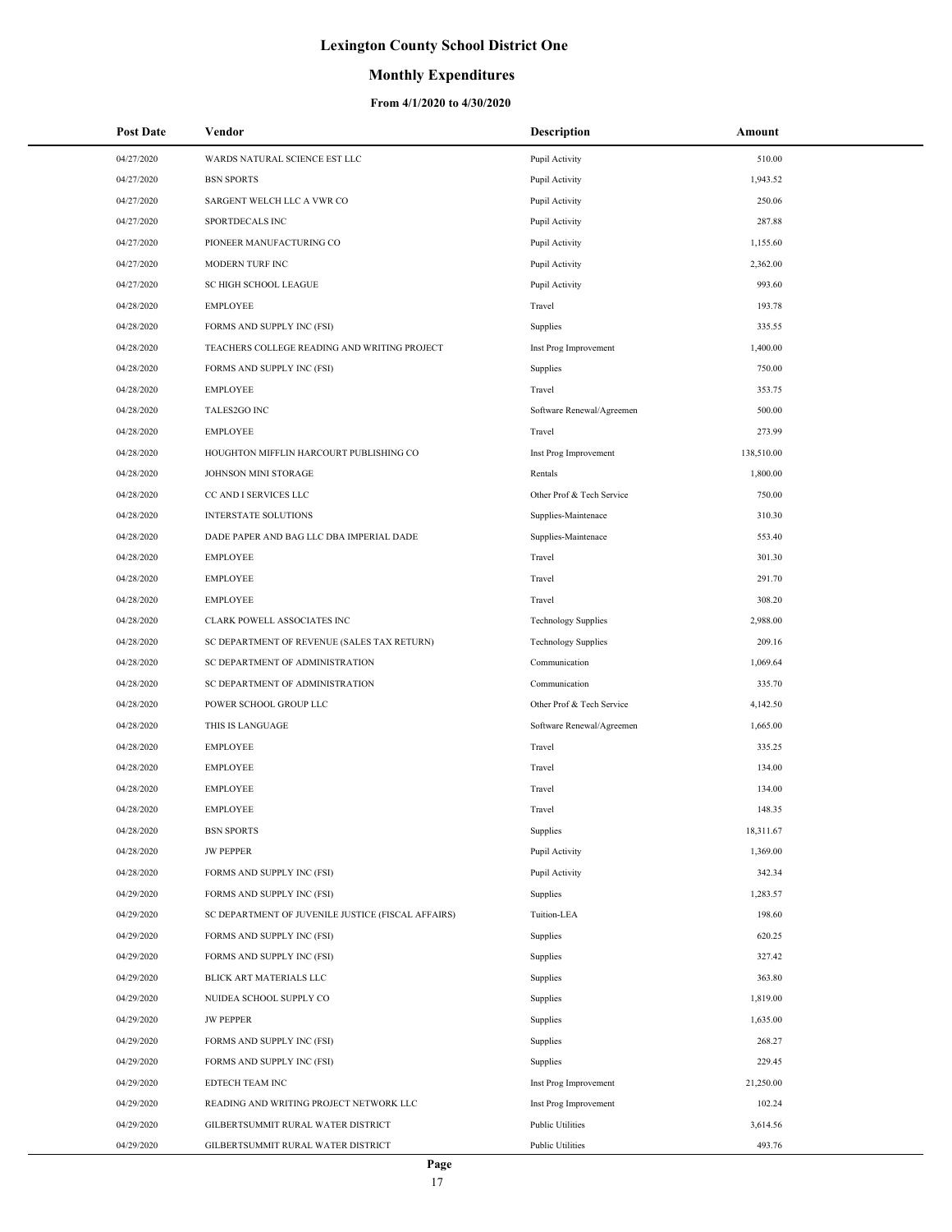### **Monthly Expenditures**

| <b>Post Date</b> | Vendor                                             | <b>Description</b>         | Amount     |
|------------------|----------------------------------------------------|----------------------------|------------|
| 04/27/2020       | WARDS NATURAL SCIENCE EST LLC                      | Pupil Activity             | 510.00     |
| 04/27/2020       | <b>BSN SPORTS</b>                                  | Pupil Activity             | 1,943.52   |
| 04/27/2020       | SARGENT WELCH LLC A VWR CO                         | Pupil Activity             | 250.06     |
| 04/27/2020       | SPORTDECALS INC                                    | Pupil Activity             | 287.88     |
| 04/27/2020       | PIONEER MANUFACTURING CO                           | Pupil Activity             | 1,155.60   |
| 04/27/2020       | MODERN TURF INC                                    | Pupil Activity             | 2,362.00   |
| 04/27/2020       | <b>SC HIGH SCHOOL LEAGUE</b>                       | Pupil Activity             | 993.60     |
| 04/28/2020       | <b>EMPLOYEE</b>                                    | Travel                     | 193.78     |
| 04/28/2020       | FORMS AND SUPPLY INC (FSI)                         | Supplies                   | 335.55     |
| 04/28/2020       | TEACHERS COLLEGE READING AND WRITING PROJECT       | Inst Prog Improvement      | 1,400.00   |
| 04/28/2020       | FORMS AND SUPPLY INC (FSI)                         | Supplies                   | 750.00     |
| 04/28/2020       | <b>EMPLOYEE</b>                                    | Travel                     | 353.75     |
| 04/28/2020       | TALES2GO INC                                       | Software Renewal/Agreemen  | 500.00     |
| 04/28/2020       | <b>EMPLOYEE</b>                                    | Travel                     | 273.99     |
| 04/28/2020       | HOUGHTON MIFFLIN HARCOURT PUBLISHING CO            | Inst Prog Improvement      | 138,510.00 |
| 04/28/2020       | JOHNSON MINI STORAGE                               | Rentals                    | 1,800.00   |
| 04/28/2020       | CC AND I SERVICES LLC                              | Other Prof & Tech Service  | 750.00     |
| 04/28/2020       | <b>INTERSTATE SOLUTIONS</b>                        | Supplies-Maintenace        | 310.30     |
| 04/28/2020       | DADE PAPER AND BAG LLC DBA IMPERIAL DADE           | Supplies-Maintenace        | 553.40     |
| 04/28/2020       | <b>EMPLOYEE</b>                                    | Travel                     | 301.30     |
| 04/28/2020       | <b>EMPLOYEE</b>                                    | Travel                     | 291.70     |
| 04/28/2020       | <b>EMPLOYEE</b>                                    | Travel                     | 308.20     |
| 04/28/2020       | CLARK POWELL ASSOCIATES INC                        | <b>Technology Supplies</b> | 2,988.00   |
| 04/28/2020       | SC DEPARTMENT OF REVENUE (SALES TAX RETURN)        | <b>Technology Supplies</b> | 209.16     |
| 04/28/2020       | SC DEPARTMENT OF ADMINISTRATION                    | Communication              | 1,069.64   |
| 04/28/2020       | SC DEPARTMENT OF ADMINISTRATION                    | Communication              | 335.70     |
| 04/28/2020       | POWER SCHOOL GROUP LLC                             | Other Prof & Tech Service  | 4,142.50   |
| 04/28/2020       | THIS IS LANGUAGE                                   | Software Renewal/Agreemen  | 1,665.00   |
| 04/28/2020       | <b>EMPLOYEE</b>                                    | Travel                     | 335.25     |
| 04/28/2020       | <b>EMPLOYEE</b>                                    | Travel                     | 134.00     |
| 04/28/2020       | <b>EMPLOYEE</b>                                    | Travel                     | 134.00     |
| 04/28/2020       | <b>EMPLOYEE</b>                                    | Travel                     | 148.35     |
| 04/28/2020       | <b>BSN SPORTS</b>                                  | Supplies                   | 18,311.67  |
| 04/28/2020       | <b>JW PEPPER</b>                                   | Pupil Activity             | 1,369.00   |
| 04/28/2020       | FORMS AND SUPPLY INC (FSI)                         | Pupil Activity             | 342.34     |
| 04/29/2020       | FORMS AND SUPPLY INC (FSI)                         | Supplies                   | 1,283.57   |
| 04/29/2020       | SC DEPARTMENT OF JUVENILE JUSTICE (FISCAL AFFAIRS) | Tuition-LEA                | 198.60     |
| 04/29/2020       | FORMS AND SUPPLY INC (FSI)                         | Supplies                   | 620.25     |
| 04/29/2020       | FORMS AND SUPPLY INC (FSI)                         | Supplies                   | 327.42     |
| 04/29/2020       | BLICK ART MATERIALS LLC                            | Supplies                   | 363.80     |
| 04/29/2020       | NUIDEA SCHOOL SUPPLY CO                            | Supplies                   | 1,819.00   |
| 04/29/2020       | <b>JW PEPPER</b>                                   | Supplies                   | 1,635.00   |
| 04/29/2020       | FORMS AND SUPPLY INC (FSI)                         | Supplies                   | 268.27     |
| 04/29/2020       | FORMS AND SUPPLY INC (FSI)                         | Supplies                   | 229.45     |
| 04/29/2020       | EDTECH TEAM INC                                    | Inst Prog Improvement      | 21,250.00  |
| 04/29/2020       | READING AND WRITING PROJECT NETWORK LLC            | Inst Prog Improvement      | 102.24     |
| 04/29/2020       | GILBERTSUMMIT RURAL WATER DISTRICT                 | <b>Public Utilities</b>    | 3,614.56   |
| 04/29/2020       | GILBERTSUMMIT RURAL WATER DISTRICT                 | <b>Public Utilities</b>    | 493.76     |